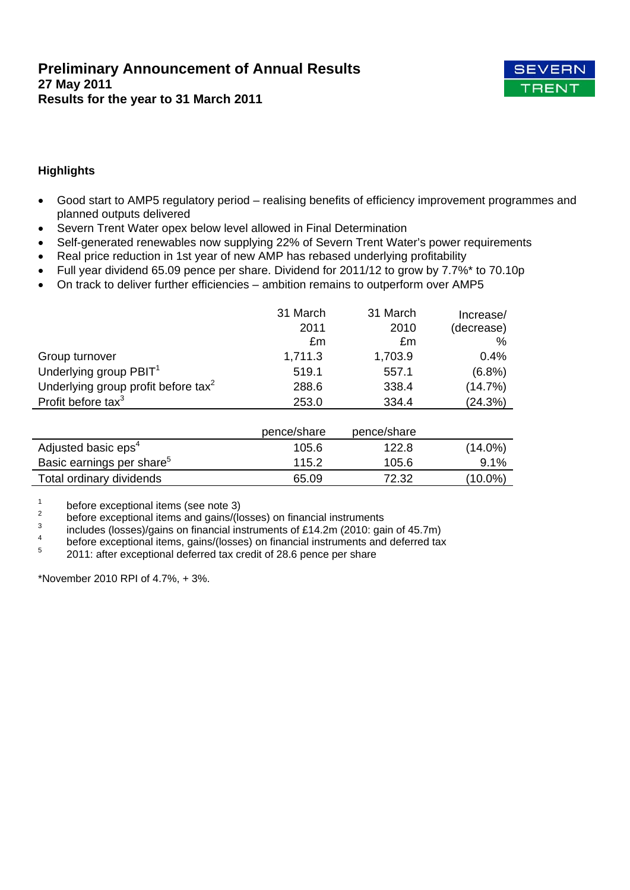

# **Highlights**

- Good start to AMP5 regulatory period realising benefits of efficiency improvement programmes and planned outputs delivered
- Severn Trent Water opex below level allowed in Final Determination
- Self-generated renewables now supplying 22% of Severn Trent Water's power requirements
- Real price reduction in 1st year of new AMP has rebased underlying profitability
- Full year dividend 65.09 pence per share. Dividend for 2011/12 to grow by 7.7%\* to 70.10p
- On track to deliver further efficiencies ambition remains to outperform over AMP5

|                                                 | 31 March<br>2011<br>£m | 31 March<br>2010<br>£m | Increase/<br>(decrease)<br>% |
|-------------------------------------------------|------------------------|------------------------|------------------------------|
| Group turnover                                  | 1,711.3                | 1,703.9                | 0.4%                         |
| Underlying group PBIT <sup>1</sup>              | 519.1                  | 557.1                  | $(6.8\%)$                    |
| Underlying group profit before tax <sup>2</sup> | 288.6                  | 338.4                  | (14.7%)                      |
| Profit before tax <sup>3</sup>                  | 253.0                  | 334.4                  | (24.3%)                      |
|                                                 | pence/share            | pence/share            |                              |
| $A$ alizateal legezia en a <sup>4</sup>         | $A \cap F$ $\cap$      | 1000                   | (4.4.00/1)                   |

| Adjusted basic eps <sup>4</sup>       | 105.6 | 122.8 | $(14.0\%)$ |
|---------------------------------------|-------|-------|------------|
| Basic earnings per share <sup>5</sup> | 115.2 | 105.6 | 9.1%       |
| Total ordinary dividends              | 65.09 | 72.32 | (10.0%)    |

1 before exceptional items (see note 3)

- 2 before exceptional items and gains/(losses) on financial instruments
- 3 includes (losses)/gains on financial instruments of £14.2m (2010: gain of 45.7m) 4
- before exceptional items, gains/(losses) on financial instruments and deferred tax
- 5 2011: after exceptional deferred tax credit of 28.6 pence per share

\*November 2010 RPI of 4.7%, + 3%.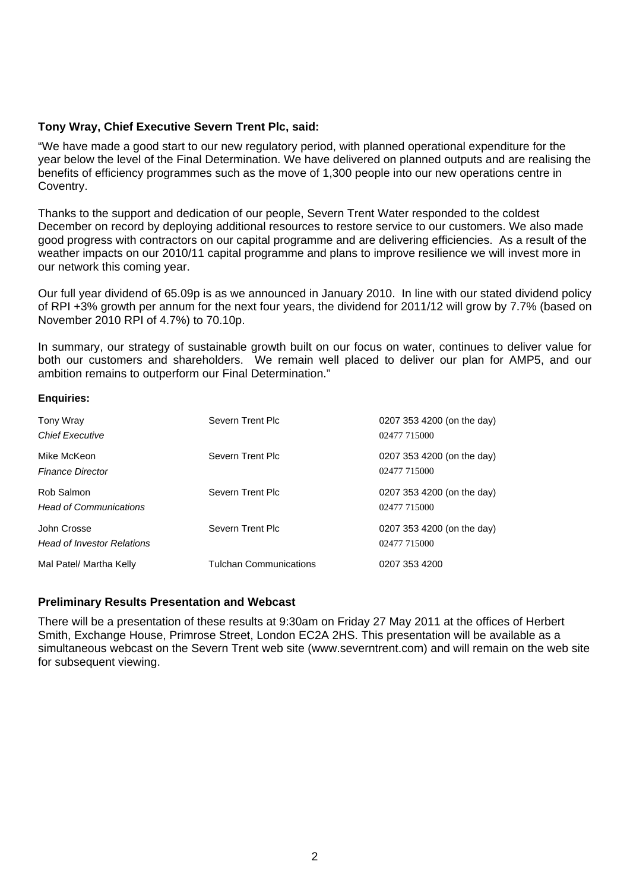# **Tony Wray, Chief Executive Severn Trent Plc, said:**

"We have made a good start to our new regulatory period, with planned operational expenditure for the year below the level of the Final Determination. We have delivered on planned outputs and are realising the benefits of efficiency programmes such as the move of 1,300 people into our new operations centre in Coventry.

Thanks to the support and dedication of our people, Severn Trent Water responded to the coldest December on record by deploying additional resources to restore service to our customers. We also made good progress with contractors on our capital programme and are delivering efficiencies. As a result of the weather impacts on our 2010/11 capital programme and plans to improve resilience we will invest more in our network this coming year.

Our full year dividend of 65.09p is as we announced in January 2010. In line with our stated dividend policy of RPI +3% growth per annum for the next four years, the dividend for 2011/12 will grow by 7.7% (based on November 2010 RPI of 4.7%) to 70.10p.

In summary, our strategy of sustainable growth built on our focus on water, continues to deliver value for both our customers and shareholders. We remain well placed to deliver our plan for AMP5, and our ambition remains to outperform our Final Determination."

### **Enquiries:**

| Tony Wray<br><b>Chief Executive</b>              | Severn Trent Plc              | 0207 353 4200 (on the day)<br>02477 715000 |
|--------------------------------------------------|-------------------------------|--------------------------------------------|
| Mike McKeon<br><b>Finance Director</b>           | Severn Trent Plc              | 0207 353 4200 (on the day)<br>02477 715000 |
| Rob Salmon<br><b>Head of Communications</b>      | Severn Trent Plc              | 0207 353 4200 (on the day)<br>02477 715000 |
| John Crosse<br><b>Head of Investor Relations</b> | Severn Trent Plc              | 0207 353 4200 (on the day)<br>02477 715000 |
| Mal Patel/ Martha Kelly                          | <b>Tulchan Communications</b> | 0207 353 4200                              |

## **Preliminary Results Presentation and Webcast**

There will be a presentation of these results at 9:30am on Friday 27 May 2011 at the offices of Herbert Smith, Exchange House, Primrose Street, London EC2A 2HS. This presentation will be available as a simultaneous webcast on the Severn Trent web site (www.severntrent.com) and will remain on the web site for subsequent viewing.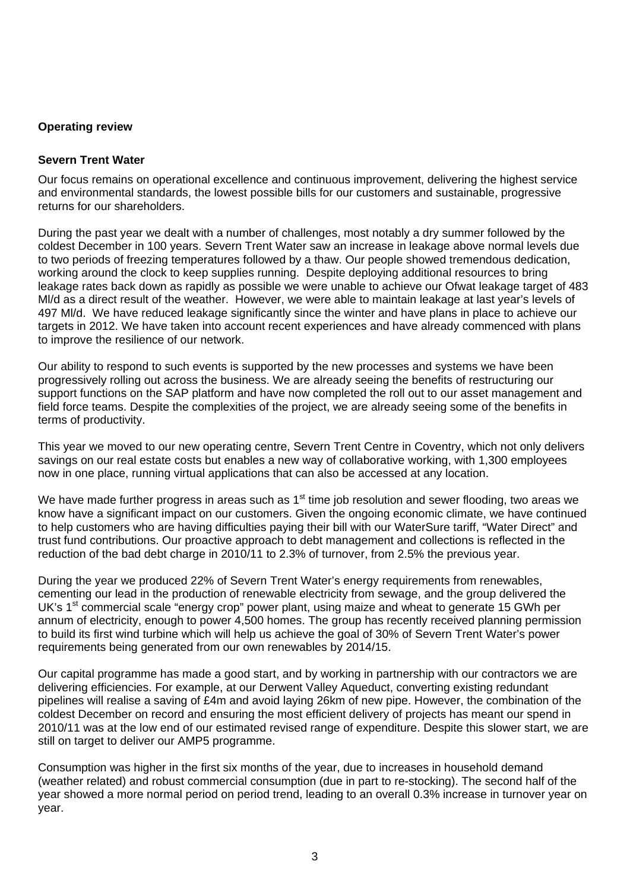# **Operating review**

# **Severn Trent Water**

Our focus remains on operational excellence and continuous improvement, delivering the highest service and environmental standards, the lowest possible bills for our customers and sustainable, progressive returns for our shareholders.

During the past year we dealt with a number of challenges, most notably a dry summer followed by the coldest December in 100 years. Severn Trent Water saw an increase in leakage above normal levels due to two periods of freezing temperatures followed by a thaw. Our people showed tremendous dedication, working around the clock to keep supplies running. Despite deploying additional resources to bring leakage rates back down as rapidly as possible we were unable to achieve our Ofwat leakage target of 483 Ml/d as a direct result of the weather. However, we were able to maintain leakage at last year's levels of 497 Ml/d. We have reduced leakage significantly since the winter and have plans in place to achieve our targets in 2012. We have taken into account recent experiences and have already commenced with plans to improve the resilience of our network.

Our ability to respond to such events is supported by the new processes and systems we have been progressively rolling out across the business. We are already seeing the benefits of restructuring our support functions on the SAP platform and have now completed the roll out to our asset management and field force teams. Despite the complexities of the project, we are already seeing some of the benefits in terms of productivity.

This year we moved to our new operating centre, Severn Trent Centre in Coventry, which not only delivers savings on our real estate costs but enables a new way of collaborative working, with 1,300 employees now in one place, running virtual applications that can also be accessed at any location.

We have made further progress in areas such as  $1<sup>st</sup>$  time job resolution and sewer flooding, two areas we know have a significant impact on our customers. Given the ongoing economic climate, we have continued to help customers who are having difficulties paying their bill with our WaterSure tariff, "Water Direct" and trust fund contributions. Our proactive approach to debt management and collections is reflected in the reduction of the bad debt charge in 2010/11 to 2.3% of turnover, from 2.5% the previous year.

During the year we produced 22% of Severn Trent Water's energy requirements from renewables, cementing our lead in the production of renewable electricity from sewage, and the group delivered the UK's 1<sup>st</sup> commercial scale "energy crop" power plant, using maize and wheat to generate 15 GWh per annum of electricity, enough to power 4,500 homes. The group has recently received planning permission to build its first wind turbine which will help us achieve the goal of 30% of Severn Trent Water's power requirements being generated from our own renewables by 2014/15.

Our capital programme has made a good start, and by working in partnership with our contractors we are delivering efficiencies. For example, at our Derwent Valley Aqueduct, converting existing redundant pipelines will realise a saving of £4m and avoid laying 26km of new pipe. However, the combination of the coldest December on record and ensuring the most efficient delivery of projects has meant our spend in 2010/11 was at the low end of our estimated revised range of expenditure. Despite this slower start, we are still on target to deliver our AMP5 programme.

Consumption was higher in the first six months of the year, due to increases in household demand (weather related) and robust commercial consumption (due in part to re-stocking). The second half of the year showed a more normal period on period trend, leading to an overall 0.3% increase in turnover year on year.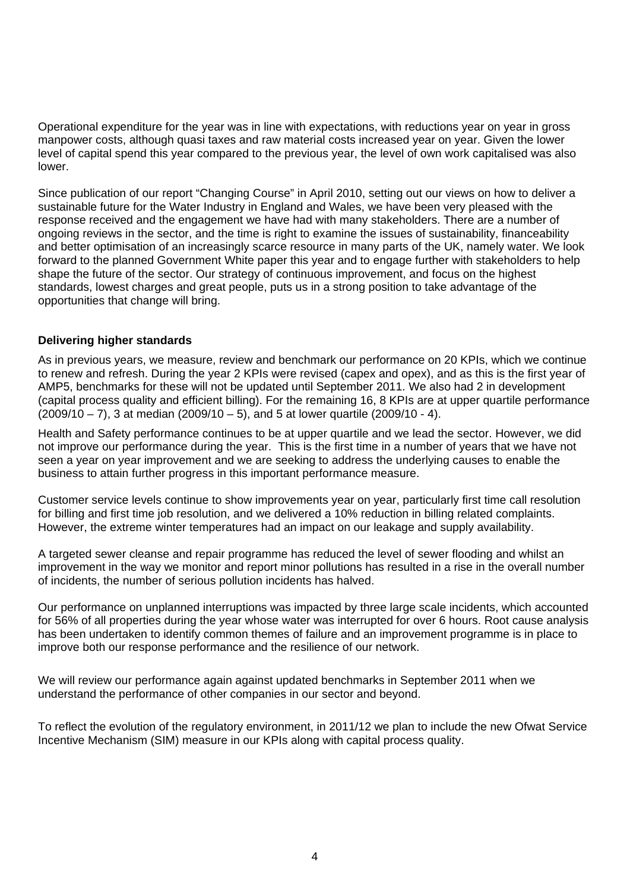Operational expenditure for the year was in line with expectations, with reductions year on year in gross manpower costs, although quasi taxes and raw material costs increased year on year. Given the lower level of capital spend this year compared to the previous year, the level of own work capitalised was also lower.

Since publication of our report "Changing Course" in April 2010, setting out our views on how to deliver a sustainable future for the Water Industry in England and Wales, we have been very pleased with the response received and the engagement we have had with many stakeholders. There are a number of ongoing reviews in the sector, and the time is right to examine the issues of sustainability, financeability and better optimisation of an increasingly scarce resource in many parts of the UK, namely water. We look forward to the planned Government White paper this year and to engage further with stakeholders to help shape the future of the sector. Our strategy of continuous improvement, and focus on the highest standards, lowest charges and great people, puts us in a strong position to take advantage of the opportunities that change will bring.

# **Delivering higher standards**

As in previous years, we measure, review and benchmark our performance on 20 KPIs, which we continue to renew and refresh. During the year 2 KPIs were revised (capex and opex), and as this is the first year of AMP5, benchmarks for these will not be updated until September 2011. We also had 2 in development (capital process quality and efficient billing). For the remaining 16, 8 KPIs are at upper quartile performance  $(2009/10 - 7)$ , 3 at median  $(2009/10 - 5)$ , and 5 at lower quartile  $(2009/10 - 4)$ .

Health and Safety performance continues to be at upper quartile and we lead the sector. However, we did not improve our performance during the year. This is the first time in a number of years that we have not seen a year on year improvement and we are seeking to address the underlying causes to enable the business to attain further progress in this important performance measure.

Customer service levels continue to show improvements year on year, particularly first time call resolution for billing and first time job resolution, and we delivered a 10% reduction in billing related complaints. However, the extreme winter temperatures had an impact on our leakage and supply availability.

A targeted sewer cleanse and repair programme has reduced the level of sewer flooding and whilst an improvement in the way we monitor and report minor pollutions has resulted in a rise in the overall number of incidents, the number of serious pollution incidents has halved.

Our performance on unplanned interruptions was impacted by three large scale incidents, which accounted for 56% of all properties during the year whose water was interrupted for over 6 hours. Root cause analysis has been undertaken to identify common themes of failure and an improvement programme is in place to improve both our response performance and the resilience of our network.

We will review our performance again against updated benchmarks in September 2011 when we understand the performance of other companies in our sector and beyond.

To reflect the evolution of the regulatory environment, in 2011/12 we plan to include the new Ofwat Service Incentive Mechanism (SIM) measure in our KPIs along with capital process quality.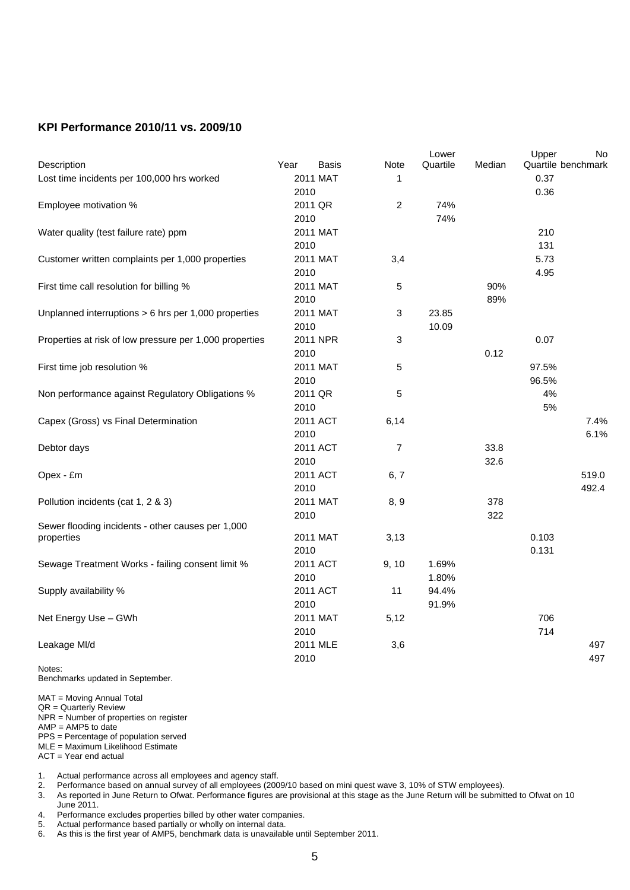# **KPI Performance 2010/11 vs. 2009/10**

|                                                         |      |          |                | Lower    |        | Upper              | No    |
|---------------------------------------------------------|------|----------|----------------|----------|--------|--------------------|-------|
| Description                                             | Year | Basis    | Note           | Quartile | Median | Quartile benchmark |       |
| Lost time incidents per 100,000 hrs worked              |      | 2011 MAT | 1              |          |        | 0.37               |       |
|                                                         | 2010 |          |                |          |        | 0.36               |       |
| Employee motivation %                                   |      | 2011 QR  | $\overline{c}$ | 74%      |        |                    |       |
|                                                         | 2010 |          |                | 74%      |        |                    |       |
| Water quality (test failure rate) ppm                   |      | 2011 MAT |                |          |        | 210                |       |
|                                                         | 2010 |          |                |          |        | 131                |       |
| Customer written complaints per 1,000 properties        |      | 2011 MAT | 3,4            |          |        | 5.73               |       |
|                                                         | 2010 |          |                |          |        | 4.95               |       |
| First time call resolution for billing %                |      | 2011 MAT | 5              |          | 90%    |                    |       |
|                                                         | 2010 |          |                |          | 89%    |                    |       |
| Unplanned interruptions > 6 hrs per 1,000 properties    |      | 2011 MAT | 3              | 23.85    |        |                    |       |
|                                                         | 2010 |          |                | 10.09    |        |                    |       |
| Properties at risk of low pressure per 1,000 properties |      | 2011 NPR | 3              |          |        | 0.07               |       |
|                                                         | 2010 |          |                |          | 0.12   |                    |       |
| First time job resolution %                             |      | 2011 MAT | 5              |          |        | 97.5%              |       |
|                                                         | 2010 |          |                |          |        | 96.5%              |       |
| Non performance against Regulatory Obligations %        |      | 2011 QR  | 5              |          |        | 4%                 |       |
|                                                         | 2010 |          |                |          |        | 5%                 |       |
| Capex (Gross) vs Final Determination                    |      | 2011 ACT | 6,14           |          |        |                    | 7.4%  |
|                                                         | 2010 |          |                |          |        |                    | 6.1%  |
| Debtor days                                             |      | 2011 ACT | $\overline{7}$ |          | 33.8   |                    |       |
|                                                         | 2010 |          |                |          | 32.6   |                    |       |
| Opex - £m                                               |      | 2011 ACT | 6, 7           |          |        |                    | 519.0 |
|                                                         | 2010 |          |                |          |        |                    | 492.4 |
| Pollution incidents (cat 1, 2 & 3)                      |      | 2011 MAT | 8, 9           |          | 378    |                    |       |
|                                                         | 2010 |          |                |          | 322    |                    |       |
| Sewer flooding incidents - other causes per 1,000       |      |          |                |          |        |                    |       |
| properties                                              |      | 2011 MAT | 3,13           |          |        | 0.103              |       |
|                                                         | 2010 |          |                |          |        | 0.131              |       |
| Sewage Treatment Works - failing consent limit %        |      | 2011 ACT | 9, 10          | 1.69%    |        |                    |       |
|                                                         | 2010 |          |                | 1.80%    |        |                    |       |
| Supply availability %                                   |      | 2011 ACT | 11             | 94.4%    |        |                    |       |
|                                                         | 2010 |          |                | 91.9%    |        |                    |       |
| Net Energy Use - GWh                                    |      | 2011 MAT | 5,12           |          |        | 706                |       |
|                                                         | 2010 |          |                |          |        | 714                |       |
| Leakage MI/d                                            |      | 2011 MLE | 3,6            |          |        |                    | 497   |
|                                                         | 2010 |          |                |          |        |                    | 497   |
| Notes:                                                  |      |          |                |          |        |                    |       |

Benchmarks updated in September.

MAT = Moving Annual Total

QR = Quarterly Review

NPR = Number of properties on register

 $AMP = AMP5$  to date

PPS = Percentage of population served

MLE = Maximum Likelihood Estimate

ACT = Year end actual

1. Actual performance across all employees and agency staff.

2. Performance based on annual survey of all employees (2009/10 based on mini quest wave 3, 10% of STW employees).

3. As reported in June Return to Ofwat. Performance figures are provisional at this stage as the June Return will be submitted to Ofwat on 10 June 2011.

4. Performance excludes properties billed by other water companies.

5. Actual performance based partially or wholly on internal data.<br>6. As this is the first year of AMP5, benchmark data is unavailab

As this is the first year of AMP5, benchmark data is unavailable until September 2011.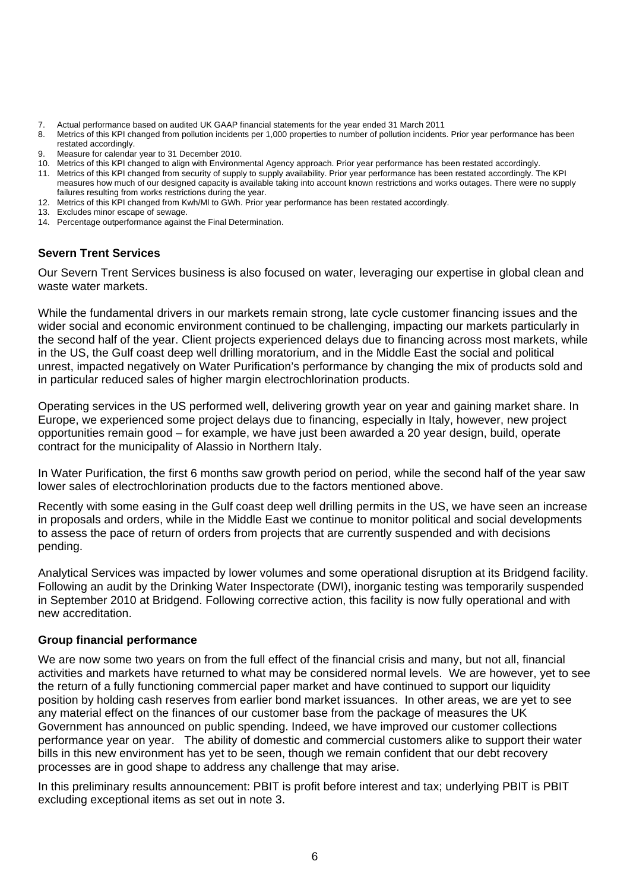- 7. Actual performance based on audited UK GAAP financial statements for the year ended 31 March 2011<br>8. Metrics of this KPI changed from pollution incidents per 1,000 properties to number of pollution incidents
- Metrics of this KPI changed from pollution incidents per 1,000 properties to number of pollution incidents. Prior year performance has been restated accordingly.
- 9. Measure for calendar year to 31 December 2010.
- 10. Metrics of this KPI changed to align with Environmental Agency approach. Prior year performance has been restated accordingly.
- 11. Metrics of this KPI changed from security of supply to supply availability. Prior year performance has been restated accordingly. The KPI measures how much of our designed capacity is available taking into account known restrictions and works outages. There were no supply failures resulting from works restrictions during the year.
- 12. Metrics of this KPI changed from Kwh/Ml to GWh. Prior year performance has been restated accordingly.
- 13. Excludes minor escape of sewage.
- 14. Percentage outperformance against the Final Determination.

# **Severn Trent Services**

Our Severn Trent Services business is also focused on water, leveraging our expertise in global clean and waste water markets.

While the fundamental drivers in our markets remain strong, late cycle customer financing issues and the wider social and economic environment continued to be challenging, impacting our markets particularly in the second half of the year. Client projects experienced delays due to financing across most markets, while in the US, the Gulf coast deep well drilling moratorium, and in the Middle East the social and political unrest, impacted negatively on Water Purification's performance by changing the mix of products sold and in particular reduced sales of higher margin electrochlorination products.

Operating services in the US performed well, delivering growth year on year and gaining market share. In Europe, we experienced some project delays due to financing, especially in Italy, however, new project opportunities remain good – for example, we have just been awarded a 20 year design, build, operate contract for the municipality of Alassio in Northern Italy.

In Water Purification, the first 6 months saw growth period on period, while the second half of the year saw lower sales of electrochlorination products due to the factors mentioned above.

Recently with some easing in the Gulf coast deep well drilling permits in the US, we have seen an increase in proposals and orders, while in the Middle East we continue to monitor political and social developments to assess the pace of return of orders from projects that are currently suspended and with decisions pending.

Analytical Services was impacted by lower volumes and some operational disruption at its Bridgend facility. Following an audit by the Drinking Water Inspectorate (DWI), inorganic testing was temporarily suspended in September 2010 at Bridgend. Following corrective action, this facility is now fully operational and with new accreditation.

## **Group financial performance**

We are now some two years on from the full effect of the financial crisis and many, but not all, financial activities and markets have returned to what may be considered normal levels. We are however, yet to see the return of a fully functioning commercial paper market and have continued to support our liquidity position by holding cash reserves from earlier bond market issuances. In other areas, we are yet to see any material effect on the finances of our customer base from the package of measures the UK Government has announced on public spending. Indeed, we have improved our customer collections performance year on year. The ability of domestic and commercial customers alike to support their water bills in this new environment has yet to be seen, though we remain confident that our debt recovery processes are in good shape to address any challenge that may arise.

In this preliminary results announcement: PBIT is profit before interest and tax; underlying PBIT is PBIT excluding exceptional items as set out in note 3.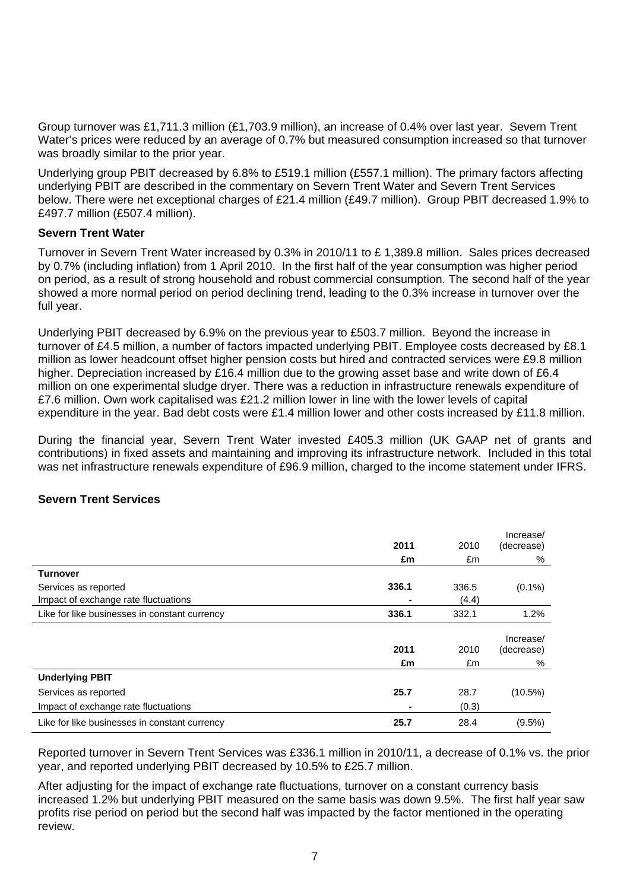Group turnover was £1,711.3 million (£1,703.9 million), an increase of 0.4% over last year. Severn Trent Water's prices were reduced by an average of 0.7% but measured consumption increased so that turnover was broadly similar to the prior year.

Underlying group PBIT decreased by 6.8% to £519.1 million (£557.1 million). The primary factors affecting underlying PBIT are described in the commentary on Severn Trent Water and Severn Trent Services below. There were net exceptional charges of £21.4 million (£49.7 million). Group PBIT decreased 1.9% to £497.7 million (£507.4 million).

# **Severn Trent Water**

Turnover in Severn Trent Water increased by 0.3% in 2010/11 to £ 1,389.8 million. Sales prices decreased by 0.7% (including inflation) from 1 April 2010. In the first half of the year consumption was higher period on period, as a result of strong household and robust commercial consumption. The second half of the year showed a more normal period on period declining trend, leading to the 0.3% increase in turnover over the full year.

Underlying PBIT decreased by 6.9% on the previous year to £503.7 million. Beyond the increase in turnover of £4.5 million, a number of factors impacted underlying PBIT. Employee costs decreased by £8.1 million as lower headcount offset higher pension costs but hired and contracted services were £9.8 million higher. Depreciation increased by £16.4 million due to the growing asset base and write down of £6.4 million on one experimental sludge dryer. There was a reduction in infrastructure renewals expenditure of £7.6 million. Own work capitalised was £21.2 million lower in line with the lower levels of capital expenditure in the year. Bad debt costs were £1.4 million lower and other costs increased by £11.8 million.

During the financial year, Severn Trent Water invested £405.3 million (UK GAAP net of grants and contributions) in fixed assets and maintaining and improving its infrastructure network. Included in this total was net infrastructure renewals expenditure of £96.9 million, charged to the income statement under IFRS.

# **Severn Trent Services**

|                                               |       |       | Increase/  |
|-----------------------------------------------|-------|-------|------------|
|                                               | 2011  | 2010  | (decrease) |
|                                               | £m    | £m    | %          |
| Turnover                                      |       |       |            |
| Services as reported                          | 336.1 | 336.5 | $(0.1\%)$  |
| Impact of exchange rate fluctuations          |       | (4.4) |            |
| Like for like businesses in constant currency | 336.1 | 332.1 | 1.2%       |
|                                               |       |       | Increase/  |
|                                               | 2011  | 2010  | (decrease) |
|                                               | £m    | £m    | %          |
| <b>Underlying PBIT</b>                        |       |       |            |
| Services as reported                          | 25.7  | 28.7  | $(10.5\%)$ |
| Impact of exchange rate fluctuations          | ۰     | (0.3) |            |
| Like for like businesses in constant currency | 25.7  | 28.4  | $(9.5\%)$  |

Reported turnover in Severn Trent Services was £336.1 million in 2010/11, a decrease of 0.1% vs. the prior year, and reported underlying PBIT decreased by 10.5% to £25.7 million.

After adjusting for the impact of exchange rate fluctuations, turnover on a constant currency basis increased 1.2% but underlying PBIT measured on the same basis was down 9.5%. The first half year saw profits rise period on period but the second half was impacted by the factor mentioned in the operating review.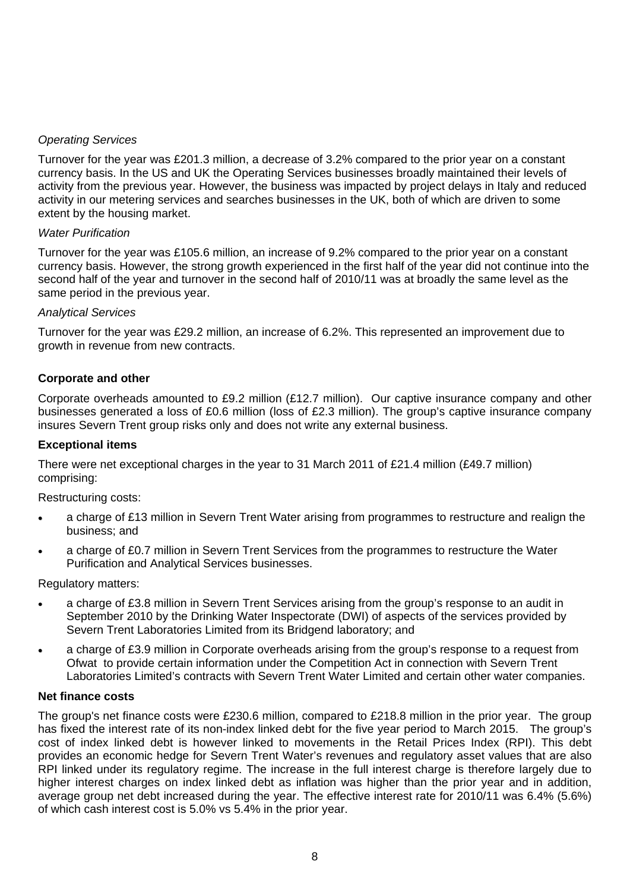# *Operating Services*

Turnover for the year was £201.3 million, a decrease of 3.2% compared to the prior year on a constant currency basis. In the US and UK the Operating Services businesses broadly maintained their levels of activity from the previous year. However, the business was impacted by project delays in Italy and reduced activity in our metering services and searches businesses in the UK, both of which are driven to some extent by the housing market.

# *Water Purification*

Turnover for the year was £105.6 million, an increase of 9.2% compared to the prior year on a constant currency basis. However, the strong growth experienced in the first half of the year did not continue into the second half of the year and turnover in the second half of 2010/11 was at broadly the same level as the same period in the previous year.

# *Analytical Services*

Turnover for the year was £29.2 million, an increase of 6.2%. This represented an improvement due to growth in revenue from new contracts.

# **Corporate and other**

Corporate overheads amounted to £9.2 million (£12.7 million). Our captive insurance company and other businesses generated a loss of £0.6 million (loss of £2.3 million). The group's captive insurance company insures Severn Trent group risks only and does not write any external business.

## **Exceptional items**

There were net exceptional charges in the year to 31 March 2011 of £21.4 million (£49.7 million) comprising:

Restructuring costs:

- a charge of £13 million in Severn Trent Water arising from programmes to restructure and realign the business; and
- a charge of £0.7 million in Severn Trent Services from the programmes to restructure the Water Purification and Analytical Services businesses.

Regulatory matters:

- a charge of £3.8 million in Severn Trent Services arising from the group's response to an audit in September 2010 by the Drinking Water Inspectorate (DWI) of aspects of the services provided by Severn Trent Laboratories Limited from its Bridgend laboratory; and
- a charge of £3.9 million in Corporate overheads arising from the group's response to a request from Ofwat to provide certain information under the Competition Act in connection with Severn Trent Laboratories Limited's contracts with Severn Trent Water Limited and certain other water companies.

## **Net finance costs**

The group's net finance costs were £230.6 million, compared to £218.8 million in the prior year. The group has fixed the interest rate of its non-index linked debt for the five year period to March 2015. The group's cost of index linked debt is however linked to movements in the Retail Prices Index (RPI). This debt provides an economic hedge for Severn Trent Water's revenues and regulatory asset values that are also RPI linked under its regulatory regime. The increase in the full interest charge is therefore largely due to higher interest charges on index linked debt as inflation was higher than the prior year and in addition, average group net debt increased during the year. The effective interest rate for 2010/11 was 6.4% (5.6%) of which cash interest cost is 5.0% vs 5.4% in the prior year.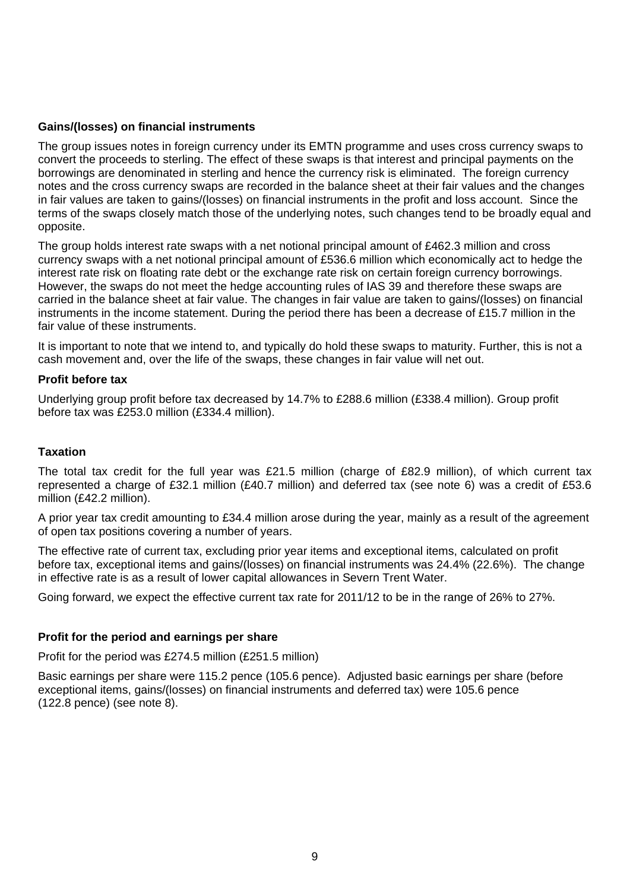# **Gains/(losses) on financial instruments**

The group issues notes in foreign currency under its EMTN programme and uses cross currency swaps to convert the proceeds to sterling. The effect of these swaps is that interest and principal payments on the borrowings are denominated in sterling and hence the currency risk is eliminated. The foreign currency notes and the cross currency swaps are recorded in the balance sheet at their fair values and the changes in fair values are taken to gains/(losses) on financial instruments in the profit and loss account. Since the terms of the swaps closely match those of the underlying notes, such changes tend to be broadly equal and opposite.

The group holds interest rate swaps with a net notional principal amount of £462.3 million and cross currency swaps with a net notional principal amount of £536.6 million which economically act to hedge the interest rate risk on floating rate debt or the exchange rate risk on certain foreign currency borrowings. However, the swaps do not meet the hedge accounting rules of IAS 39 and therefore these swaps are carried in the balance sheet at fair value. The changes in fair value are taken to gains/(losses) on financial instruments in the income statement. During the period there has been a decrease of £15.7 million in the fair value of these instruments.

It is important to note that we intend to, and typically do hold these swaps to maturity. Further, this is not a cash movement and, over the life of the swaps, these changes in fair value will net out.

## **Profit before tax**

Underlying group profit before tax decreased by 14.7% to £288.6 million (£338.4 million). Group profit before tax was £253.0 million (£334.4 million).

## **Taxation**

The total tax credit for the full year was £21.5 million (charge of £82.9 million), of which current tax represented a charge of £32.1 million (£40.7 million) and deferred tax (see note 6) was a credit of £53.6 million (£42.2 million).

A prior year tax credit amounting to £34.4 million arose during the year, mainly as a result of the agreement of open tax positions covering a number of years.

The effective rate of current tax, excluding prior year items and exceptional items, calculated on profit before tax, exceptional items and gains/(losses) on financial instruments was 24.4% (22.6%). The change in effective rate is as a result of lower capital allowances in Severn Trent Water.

Going forward, we expect the effective current tax rate for 2011/12 to be in the range of 26% to 27%.

## **Profit for the period and earnings per share**

Profit for the period was £274.5 million (£251.5 million)

Basic earnings per share were 115.2 pence (105.6 pence). Adjusted basic earnings per share (before exceptional items, gains/(losses) on financial instruments and deferred tax) were 105.6 pence (122.8 pence) (see note 8).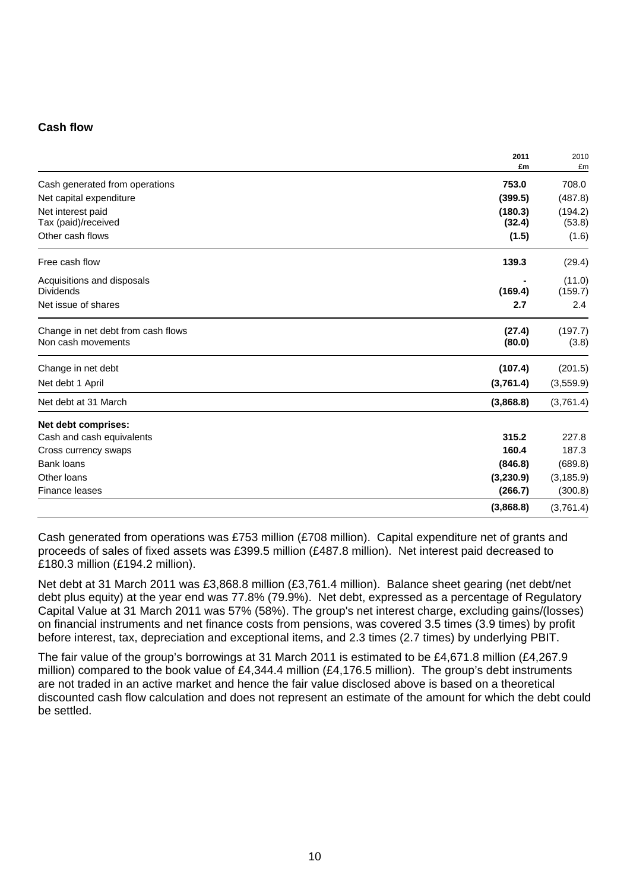# **Cash flow**

|                                    | 2011<br>£m | 2010<br>£m |
|------------------------------------|------------|------------|
| Cash generated from operations     | 753.0      | 708.0      |
| Net capital expenditure            | (399.5)    | (487.8)    |
| Net interest paid                  | (180.3)    | (194.2)    |
| Tax (paid)/received                | (32.4)     | (53.8)     |
| Other cash flows                   | (1.5)      | (1.6)      |
| Free cash flow                     | 139.3      | (29.4)     |
| Acquisitions and disposals         |            | (11.0)     |
| <b>Dividends</b>                   | (169.4)    | (159.7)    |
| Net issue of shares                | 2.7        | 2.4        |
| Change in net debt from cash flows | (27.4)     | (197.7)    |
| Non cash movements                 | (80.0)     | (3.8)      |
| Change in net debt                 | (107.4)    | (201.5)    |
| Net debt 1 April                   | (3,761.4)  | (3,559.9)  |
| Net debt at 31 March               | (3,868.8)  | (3,761.4)  |
| Net debt comprises:                |            |            |
| Cash and cash equivalents          | 315.2      | 227.8      |
| Cross currency swaps               | 160.4      | 187.3      |
| <b>Bank loans</b>                  | (846.8)    | (689.8)    |
| Other loans                        | (3,230.9)  | (3, 185.9) |
| Finance leases                     | (266.7)    | (300.8)    |
|                                    | (3,868.8)  | (3,761.4)  |

Cash generated from operations was £753 million (£708 million). Capital expenditure net of grants and proceeds of sales of fixed assets was £399.5 million (£487.8 million). Net interest paid decreased to £180.3 million (£194.2 million).

Net debt at 31 March 2011 was £3,868.8 million (£3,761.4 million). Balance sheet gearing (net debt/net debt plus equity) at the year end was 77.8% (79.9%). Net debt, expressed as a percentage of Regulatory Capital Value at 31 March 2011 was 57% (58%). The group's net interest charge, excluding gains/(losses) on financial instruments and net finance costs from pensions, was covered 3.5 times (3.9 times) by profit before interest, tax, depreciation and exceptional items, and 2.3 times (2.7 times) by underlying PBIT.

The fair value of the group's borrowings at 31 March 2011 is estimated to be £4,671.8 million (£4,267.9 million) compared to the book value of £4,344.4 million (£4,176.5 million). The group's debt instruments are not traded in an active market and hence the fair value disclosed above is based on a theoretical discounted cash flow calculation and does not represent an estimate of the amount for which the debt could be settled.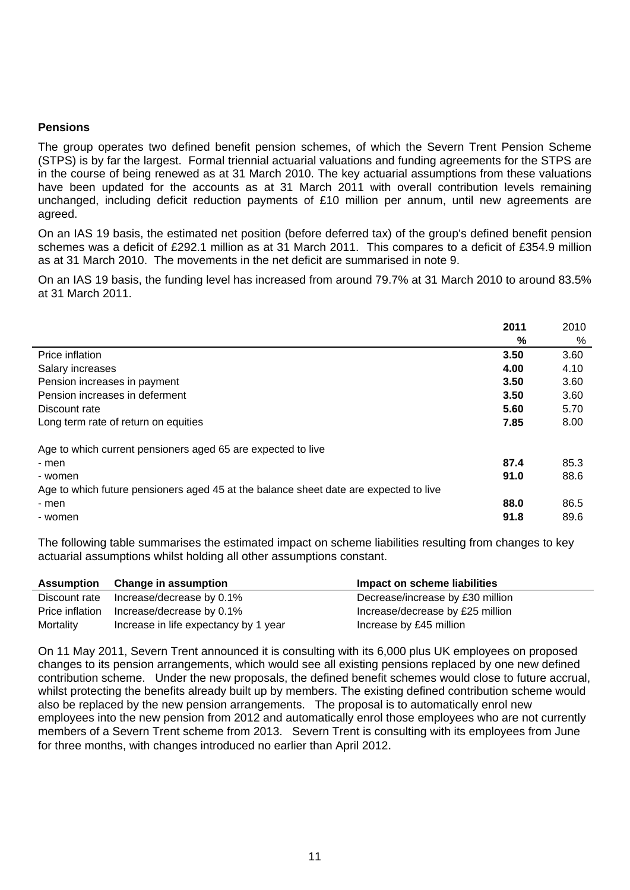# **Pensions**

The group operates two defined benefit pension schemes, of which the Severn Trent Pension Scheme (STPS) is by far the largest. Formal triennial actuarial valuations and funding agreements for the STPS are in the course of being renewed as at 31 March 2010. The key actuarial assumptions from these valuations have been updated for the accounts as at 31 March 2011 with overall contribution levels remaining unchanged, including deficit reduction payments of £10 million per annum, until new agreements are agreed.

On an IAS 19 basis, the estimated net position (before deferred tax) of the group's defined benefit pension schemes was a deficit of £292.1 million as at 31 March 2011. This compares to a deficit of £354.9 million as at 31 March 2010. The movements in the net deficit are summarised in note 9.

On an IAS 19 basis, the funding level has increased from around 79.7% at 31 March 2010 to around 83.5% at 31 March 2011.

|                                                                                       | 2011 | 2010 |
|---------------------------------------------------------------------------------------|------|------|
|                                                                                       | %    | %    |
| Price inflation                                                                       | 3.50 | 3.60 |
| Salary increases                                                                      | 4.00 | 4.10 |
| Pension increases in payment                                                          | 3.50 | 3.60 |
| Pension increases in deferment                                                        | 3.50 | 3.60 |
| Discount rate                                                                         | 5.60 | 5.70 |
| Long term rate of return on equities                                                  | 7.85 | 8.00 |
| Age to which current pensioners aged 65 are expected to live                          |      |      |
| - men                                                                                 | 87.4 | 85.3 |
| - women                                                                               | 91.0 | 88.6 |
| Age to which future pensioners aged 45 at the balance sheet date are expected to live |      |      |
| - men                                                                                 | 88.0 | 86.5 |
| - women                                                                               | 91.8 | 89.6 |

The following table summarises the estimated impact on scheme liabilities resulting from changes to key actuarial assumptions whilst holding all other assumptions constant.

|           | Assumption Change in assumption           | Impact on scheme liabilities     |
|-----------|-------------------------------------------|----------------------------------|
|           | Discount rate Increase/decrease by 0.1%   | Decrease/increase by £30 million |
|           | Price inflation Increase/decrease by 0.1% | Increase/decrease by £25 million |
| Mortality | Increase in life expectancy by 1 year     | Increase by £45 million          |

On 11 May 2011, Severn Trent announced it is consulting with its 6,000 plus UK employees on proposed changes to its pension arrangements, which would see all existing pensions replaced by one new defined contribution scheme. Under the new proposals, the defined benefit schemes would close to future accrual, whilst protecting the benefits already built up by members. The existing defined contribution scheme would also be replaced by the new pension arrangements. The proposal is to automatically enrol new employees into the new pension from 2012 and automatically enrol those employees who are not currently members of a Severn Trent scheme from 2013. Severn Trent is consulting with its employees from June for three months, with changes introduced no earlier than April 2012.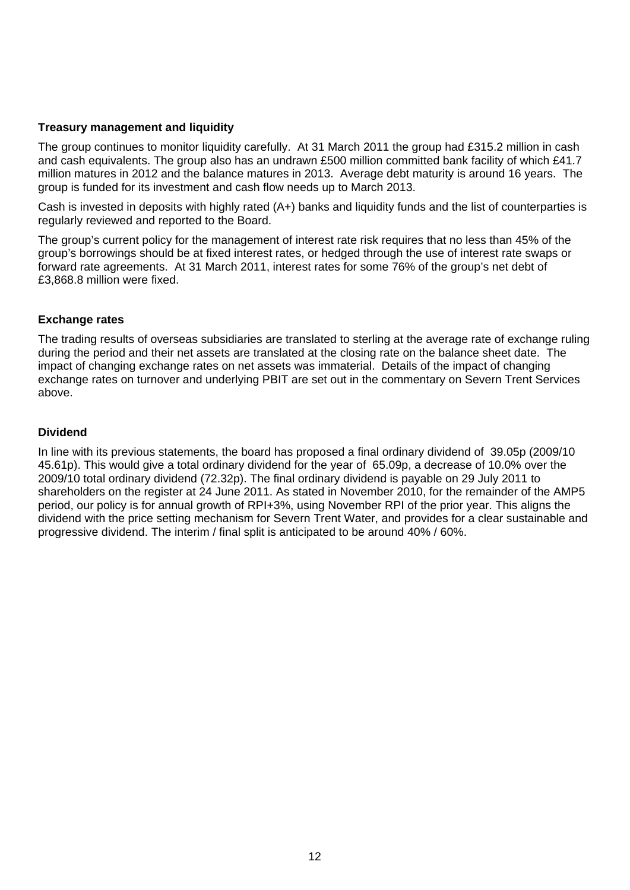# **Treasury management and liquidity**

The group continues to monitor liquidity carefully. At 31 March 2011 the group had £315.2 million in cash and cash equivalents. The group also has an undrawn £500 million committed bank facility of which £41.7 million matures in 2012 and the balance matures in 2013. Average debt maturity is around 16 years. The group is funded for its investment and cash flow needs up to March 2013.

Cash is invested in deposits with highly rated (A+) banks and liquidity funds and the list of counterparties is regularly reviewed and reported to the Board.

The group's current policy for the management of interest rate risk requires that no less than 45% of the group's borrowings should be at fixed interest rates, or hedged through the use of interest rate swaps or forward rate agreements. At 31 March 2011, interest rates for some 76% of the group's net debt of £3,868.8 million were fixed.

# **Exchange rates**

The trading results of overseas subsidiaries are translated to sterling at the average rate of exchange ruling during the period and their net assets are translated at the closing rate on the balance sheet date. The impact of changing exchange rates on net assets was immaterial. Details of the impact of changing exchange rates on turnover and underlying PBIT are set out in the commentary on Severn Trent Services above.

# **Dividend**

In line with its previous statements, the board has proposed a final ordinary dividend of 39.05p (2009/10 45.61p). This would give a total ordinary dividend for the year of 65.09p, a decrease of 10.0% over the 2009/10 total ordinary dividend (72.32p). The final ordinary dividend is payable on 29 July 2011 to shareholders on the register at 24 June 2011. As stated in November 2010, for the remainder of the AMP5 period, our policy is for annual growth of RPI+3%, using November RPI of the prior year. This aligns the dividend with the price setting mechanism for Severn Trent Water, and provides for a clear sustainable and progressive dividend. The interim / final split is anticipated to be around 40% / 60%.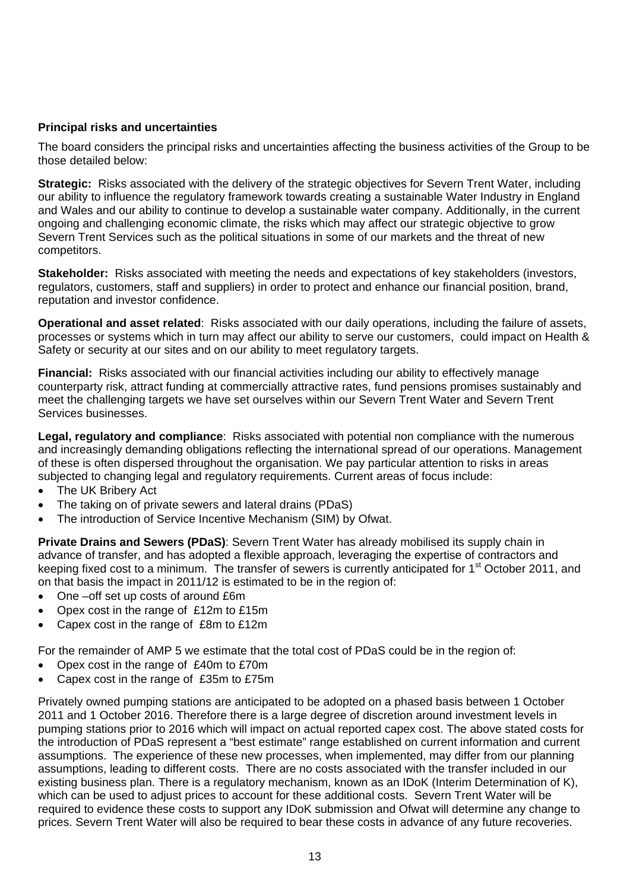# **Principal risks and uncertainties**

The board considers the principal risks and uncertainties affecting the business activities of the Group to be those detailed below:

**Strategic:** Risks associated with the delivery of the strategic objectives for Severn Trent Water, including our ability to influence the regulatory framework towards creating a sustainable Water Industry in England and Wales and our ability to continue to develop a sustainable water company. Additionally, in the current ongoing and challenging economic climate, the risks which may affect our strategic objective to grow Severn Trent Services such as the political situations in some of our markets and the threat of new competitors.

**Stakeholder:** Risks associated with meeting the needs and expectations of key stakeholders (investors, regulators, customers, staff and suppliers) in order to protect and enhance our financial position, brand, reputation and investor confidence.

**Operational and asset related**: Risks associated with our daily operations, including the failure of assets, processes or systems which in turn may affect our ability to serve our customers, could impact on Health & Safety or security at our sites and on our ability to meet regulatory targets.

**Financial:** Risks associated with our financial activities including our ability to effectively manage counterparty risk, attract funding at commercially attractive rates, fund pensions promises sustainably and meet the challenging targets we have set ourselves within our Severn Trent Water and Severn Trent Services businesses.

**Legal, regulatory and compliance**: Risks associated with potential non compliance with the numerous and increasingly demanding obligations reflecting the international spread of our operations. Management of these is often dispersed throughout the organisation. We pay particular attention to risks in areas subjected to changing legal and regulatory requirements. Current areas of focus include:

- The UK Bribery Act
- The taking on of private sewers and lateral drains (PDaS)
- The introduction of Service Incentive Mechanism (SIM) by Ofwat.

**Private Drains and Sewers (PDaS)**: Severn Trent Water has already mobilised its supply chain in advance of transfer, and has adopted a flexible approach, leveraging the expertise of contractors and keeping fixed cost to a minimum. The transfer of sewers is currently anticipated for 1<sup>st</sup> October 2011, and on that basis the impact in 2011/12 is estimated to be in the region of:

- One –off set up costs of around £6m
- Opex cost in the range of £12m to £15m
- Capex cost in the range of £8m to £12m

For the remainder of AMP 5 we estimate that the total cost of PDaS could be in the region of:

- Opex cost in the range of £40m to £70m
- Capex cost in the range of £35m to £75m

Privately owned pumping stations are anticipated to be adopted on a phased basis between 1 October 2011 and 1 October 2016. Therefore there is a large degree of discretion around investment levels in pumping stations prior to 2016 which will impact on actual reported capex cost. The above stated costs for the introduction of PDaS represent a "best estimate" range established on current information and current assumptions. The experience of these new processes, when implemented, may differ from our planning assumptions, leading to different costs. There are no costs associated with the transfer included in our existing business plan. There is a regulatory mechanism, known as an IDoK (Interim Determination of K), which can be used to adjust prices to account for these additional costs. Severn Trent Water will be required to evidence these costs to support any IDoK submission and Ofwat will determine any change to prices. Severn Trent Water will also be required to bear these costs in advance of any future recoveries.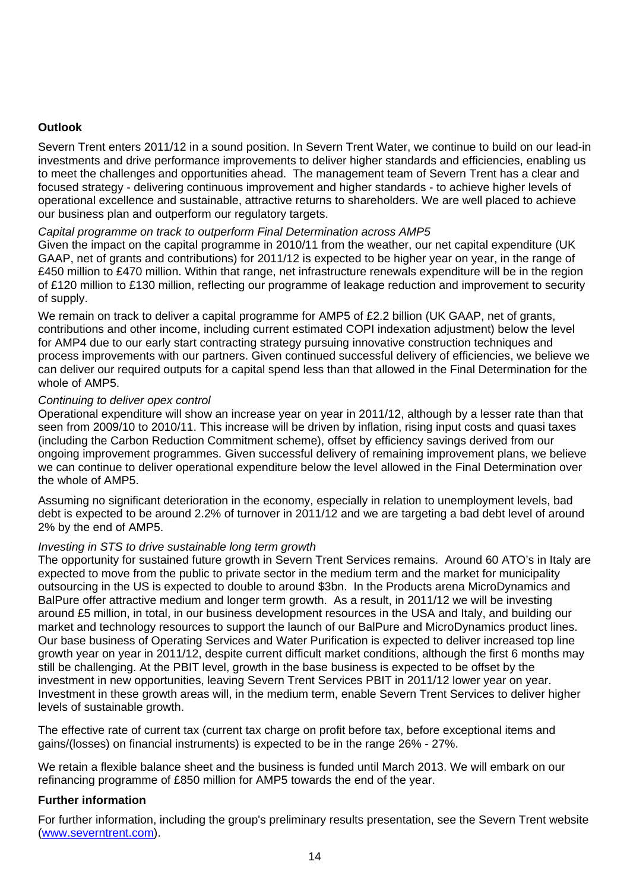# **Outlook**

Severn Trent enters 2011/12 in a sound position. In Severn Trent Water, we continue to build on our lead-in investments and drive performance improvements to deliver higher standards and efficiencies, enabling us to meet the challenges and opportunities ahead. The management team of Severn Trent has a clear and focused strategy - delivering continuous improvement and higher standards - to achieve higher levels of operational excellence and sustainable, attractive returns to shareholders. We are well placed to achieve our business plan and outperform our regulatory targets.

# *Capital programme on track to outperform Final Determination across AMP5*

Given the impact on the capital programme in 2010/11 from the weather, our net capital expenditure (UK GAAP, net of grants and contributions) for 2011/12 is expected to be higher year on year, in the range of £450 million to £470 million. Within that range, net infrastructure renewals expenditure will be in the region of £120 million to £130 million, reflecting our programme of leakage reduction and improvement to security of supply.

We remain on track to deliver a capital programme for AMP5 of £2.2 billion (UK GAAP, net of grants, contributions and other income, including current estimated COPI indexation adjustment) below the level for AMP4 due to our early start contracting strategy pursuing innovative construction techniques and process improvements with our partners. Given continued successful delivery of efficiencies, we believe we can deliver our required outputs for a capital spend less than that allowed in the Final Determination for the whole of AMP5.

# *Continuing to deliver opex control*

Operational expenditure will show an increase year on year in 2011/12, although by a lesser rate than that seen from 2009/10 to 2010/11. This increase will be driven by inflation, rising input costs and quasi taxes (including the Carbon Reduction Commitment scheme), offset by efficiency savings derived from our ongoing improvement programmes. Given successful delivery of remaining improvement plans, we believe we can continue to deliver operational expenditure below the level allowed in the Final Determination over the whole of AMP5.

Assuming no significant deterioration in the economy, especially in relation to unemployment levels, bad debt is expected to be around 2.2% of turnover in 2011/12 and we are targeting a bad debt level of around 2% by the end of AMP5.

# *Investing in STS to drive sustainable long term growth*

The opportunity for sustained future growth in Severn Trent Services remains. Around 60 ATO's in Italy are expected to move from the public to private sector in the medium term and the market for municipality outsourcing in the US is expected to double to around \$3bn. In the Products arena MicroDynamics and BalPure offer attractive medium and longer term growth. As a result, in 2011/12 we will be investing around £5 million, in total, in our business development resources in the USA and Italy, and building our market and technology resources to support the launch of our BalPure and MicroDynamics product lines. Our base business of Operating Services and Water Purification is expected to deliver increased top line growth year on year in 2011/12, despite current difficult market conditions, although the first 6 months may still be challenging. At the PBIT level, growth in the base business is expected to be offset by the investment in new opportunities, leaving Severn Trent Services PBIT in 2011/12 lower year on year. Investment in these growth areas will, in the medium term, enable Severn Trent Services to deliver higher levels of sustainable growth.

The effective rate of current tax (current tax charge on profit before tax, before exceptional items and gains/(losses) on financial instruments) is expected to be in the range 26% - 27%.

We retain a flexible balance sheet and the business is funded until March 2013. We will embark on our refinancing programme of £850 million for AMP5 towards the end of the year.

# **Further information**

For further information, including the group's preliminary results presentation, see the Severn Trent website (www.severntrent.com).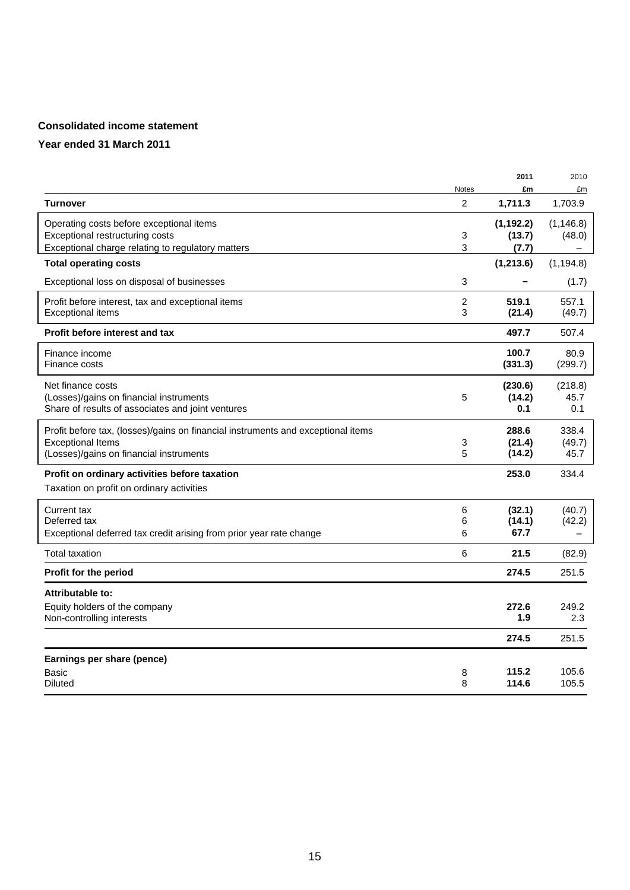# **Consolidated income statement**

|                                                                                  |                | 2011       | 2010       |
|----------------------------------------------------------------------------------|----------------|------------|------------|
|                                                                                  | Notes          | £m         | £m         |
| <b>Turnover</b>                                                                  | $\overline{c}$ | 1,711.3    | 1,703.9    |
| Operating costs before exceptional items                                         |                | (1, 192.2) | (1, 146.8) |
| Exceptional restructuring costs                                                  | 3              | (13.7)     | (48.0)     |
| Exceptional charge relating to regulatory matters                                | 3              | (7.7)      |            |
| <b>Total operating costs</b>                                                     |                | (1,213.6)  | (1, 194.8) |
| Exceptional loss on disposal of businesses                                       | 3              |            | (1.7)      |
| Profit before interest, tax and exceptional items                                | $\overline{c}$ | 519.1      | 557.1      |
| <b>Exceptional items</b>                                                         | 3              | (21.4)     | (49.7)     |
| Profit before interest and tax                                                   |                | 497.7      | 507.4      |
| Finance income                                                                   |                | 100.7      | 80.9       |
| Finance costs                                                                    |                | (331.3)    | (299.7)    |
| Net finance costs                                                                |                | (230.6)    | (218.8)    |
| (Losses)/gains on financial instruments                                          | 5              | (14.2)     | 45.7       |
| Share of results of associates and joint ventures                                |                | 0.1        | 0.1        |
| Profit before tax, (losses)/gains on financial instruments and exceptional items |                | 288.6      | 338.4      |
| <b>Exceptional Items</b>                                                         | 3              | (21.4)     | (49.7)     |
| (Losses)/gains on financial instruments                                          | 5              | (14.2)     | 45.7       |
| Profit on ordinary activities before taxation                                    |                | 253.0      | 334.4      |
| Taxation on profit on ordinary activities                                        |                |            |            |
| Current tax                                                                      | 6              | (32.1)     | (40.7)     |
| Deferred tax                                                                     | 6              | (14.1)     | (42.2)     |
| Exceptional deferred tax credit arising from prior year rate change              | 6              | 67.7       |            |
| <b>Total taxation</b>                                                            | 6              | 21.5       | (82.9)     |
| Profit for the period                                                            |                | 274.5      | 251.5      |
| Attributable to:                                                                 |                |            |            |
| Equity holders of the company                                                    |                | 272.6      | 249.2      |
| Non-controlling interests                                                        |                | 1.9        | 2.3        |
|                                                                                  |                | 274.5      | 251.5      |
| Earnings per share (pence)                                                       |                |            |            |
| Basic                                                                            | 8              | 115.2      | 105.6      |
| <b>Diluted</b>                                                                   | 8              | 114.6      | 105.5      |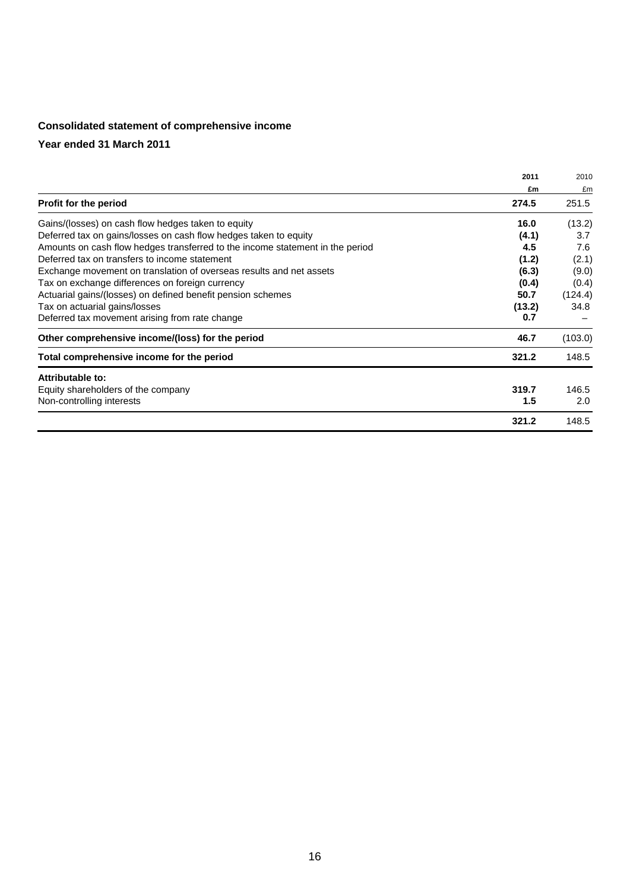# **Consolidated statement of comprehensive income**

|                                                                               | 2011   | 2010    |
|-------------------------------------------------------------------------------|--------|---------|
|                                                                               | £m     | £m      |
| <b>Profit for the period</b>                                                  | 274.5  | 251.5   |
| Gains/(losses) on cash flow hedges taken to equity                            | 16.0   | (13.2)  |
| Deferred tax on gains/losses on cash flow hedges taken to equity              | (4.1)  | 3.7     |
| Amounts on cash flow hedges transferred to the income statement in the period | 4.5    | 7.6     |
| Deferred tax on transfers to income statement                                 | (1.2)  | (2.1)   |
| Exchange movement on translation of overseas results and net assets           | (6.3)  | (9.0)   |
| Tax on exchange differences on foreign currency                               | (0.4)  | (0.4)   |
| Actuarial gains/(losses) on defined benefit pension schemes                   | 50.7   | (124.4) |
| Tax on actuarial gains/losses                                                 | (13.2) | 34.8    |
| Deferred tax movement arising from rate change                                | 0.7    |         |
| Other comprehensive income/(loss) for the period                              | 46.7   | (103.0) |
| Total comprehensive income for the period                                     | 321.2  | 148.5   |
| Attributable to:                                                              |        |         |
| Equity shareholders of the company                                            | 319.7  | 146.5   |
| Non-controlling interests                                                     | 1.5    | 2.0     |
|                                                                               | 321.2  | 148.5   |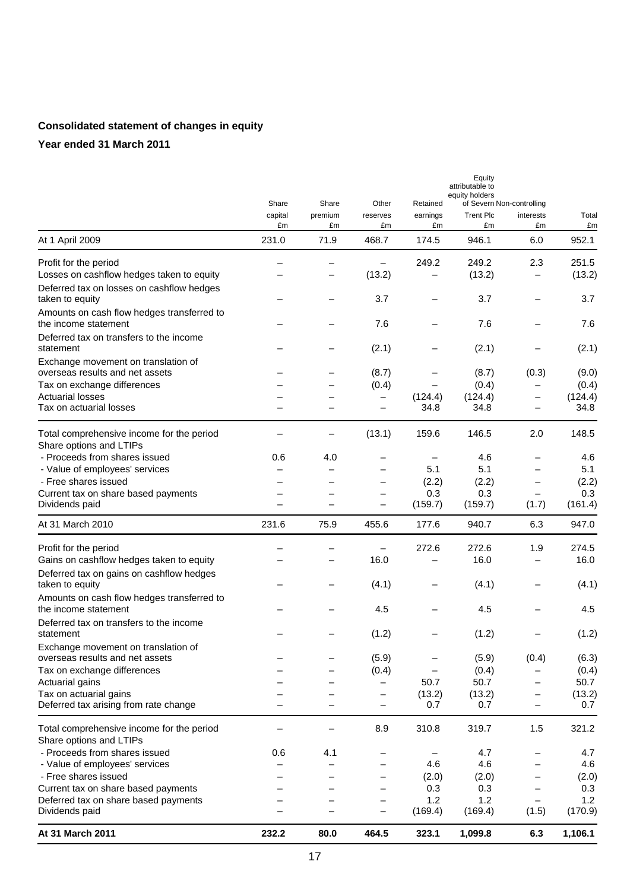# **Consolidated statement of changes in equity**

|                                                                        | Share         | Share         | Other          | Retained                 | Equity<br>attributable to<br>equity holders<br>of Severn Non-controlling |                          |                |
|------------------------------------------------------------------------|---------------|---------------|----------------|--------------------------|--------------------------------------------------------------------------|--------------------------|----------------|
|                                                                        | capital<br>£m | premium<br>£m | reserves<br>£m | earnings<br>£m           | <b>Trent Plc</b><br>£m                                                   | interests<br>£m          | Total<br>£m    |
| At 1 April 2009                                                        | 231.0         | 71.9          | 468.7          | 174.5                    | 946.1                                                                    | 6.0                      | 952.1          |
| Profit for the period                                                  |               |               |                | 249.2                    | 249.2                                                                    | 2.3                      | 251.5          |
| Losses on cashflow hedges taken to equity                              |               |               | (13.2)         |                          | (13.2)                                                                   | —                        | (13.2)         |
| Deferred tax on losses on cashflow hedges<br>taken to equity           |               |               | 3.7            |                          | 3.7                                                                      |                          | 3.7            |
| Amounts on cash flow hedges transferred to<br>the income statement     |               |               | 7.6            |                          | 7.6                                                                      |                          | 7.6            |
| Deferred tax on transfers to the income<br>statement                   |               |               | (2.1)          |                          | (2.1)                                                                    |                          | (2.1)          |
| Exchange movement on translation of<br>overseas results and net assets |               |               | (8.7)          |                          | (8.7)                                                                    | (0.3)                    | (9.0)          |
| Tax on exchange differences                                            |               |               | (0.4)          | $\qquad \qquad -$        | (0.4)                                                                    |                          | (0.4)          |
| <b>Actuarial losses</b>                                                |               |               | —              | (124.4)                  | (124.4)                                                                  | $\qquad \qquad -$        | (124.4)        |
| Tax on actuarial losses                                                |               |               | —              | 34.8                     | 34.8                                                                     | —                        | 34.8           |
| Total comprehensive income for the period<br>Share options and LTIPs   |               | —             | (13.1)         | 159.6                    | 146.5                                                                    | 2.0                      | 148.5          |
| - Proceeds from shares issued                                          | 0.6           | 4.0           |                |                          | 4.6                                                                      |                          | 4.6            |
| - Value of employees' services                                         |               |               |                | 5.1                      | 5.1                                                                      |                          | 5.1            |
| - Free shares issued                                                   |               |               |                | (2.2)                    | (2.2)                                                                    |                          | (2.2)          |
| Current tax on share based payments                                    |               |               |                | 0.3                      | 0.3                                                                      | $\qquad \qquad -$        | 0.3            |
| Dividends paid                                                         |               |               | -              | (159.7)                  | (159.7)                                                                  | (1.7)                    | (161.4)        |
| At 31 March 2010                                                       | 231.6         | 75.9          | 455.6          | 177.6                    | 940.7                                                                    | 6.3                      | 947.0          |
| Profit for the period                                                  |               |               |                | 272.6                    | 272.6                                                                    | 1.9                      | 274.5          |
| Gains on cashflow hedges taken to equity                               |               |               | 16.0           |                          | 16.0                                                                     | $\qquad \qquad -$        | 16.0           |
| Deferred tax on gains on cashflow hedges<br>taken to equity            |               |               | (4.1)          |                          | (4.1)                                                                    |                          | (4.1)          |
| Amounts on cash flow hedges transferred to<br>the income statement     |               |               | 4.5            |                          | 4.5                                                                      |                          | 4.5            |
| Deferred tax on transfers to the income<br>statement                   |               |               | (1.2)          |                          | (1.2)                                                                    |                          | (1.2)          |
| Exchange movement on translation of<br>overseas results and net assets |               |               | (5.9)          |                          | (5.9)                                                                    | (0.4)                    |                |
| Tax on exchange differences                                            |               |               | (0.4)          | $\qquad \qquad -$        | (0.4)                                                                    |                          | (6.3)<br>(0.4) |
| Actuarial gains                                                        |               | —             |                | 50.7                     | 50.7                                                                     | —                        | 50.7           |
| Tax on actuarial gains                                                 |               | —             | -              | (13.2)                   | (13.2)                                                                   | $\qquad \qquad -$        | (13.2)         |
| Deferred tax arising from rate change                                  |               |               | —              | 0.7                      | 0.7                                                                      | $\overline{\phantom{0}}$ | 0.7            |
| Total comprehensive income for the period<br>Share options and LTIPs   |               |               | 8.9            | 310.8                    | 319.7                                                                    | 1.5                      | 321.2          |
| - Proceeds from shares issued                                          | 0.6           | 4.1           | —              | $\overline{\phantom{0}}$ | 4.7                                                                      |                          | 4.7            |
| - Value of employees' services                                         |               | —             | -              | 4.6                      | 4.6                                                                      |                          | 4.6            |
| - Free shares issued                                                   |               |               | —              | (2.0)                    | (2.0)                                                                    | $\overline{\phantom{m}}$ | (2.0)          |
| Current tax on share based payments                                    |               |               |                | 0.3                      | 0.3                                                                      |                          | 0.3            |
| Deferred tax on share based payments<br>Dividends paid                 |               |               | —              | 1.2<br>(169.4)           | 1.2<br>(169.4)                                                           | (1.5)                    | 1.2<br>(170.9) |
| At 31 March 2011                                                       | 232.2         | 80.0          | 464.5          | 323.1                    | 1,099.8                                                                  | 6.3                      | 1,106.1        |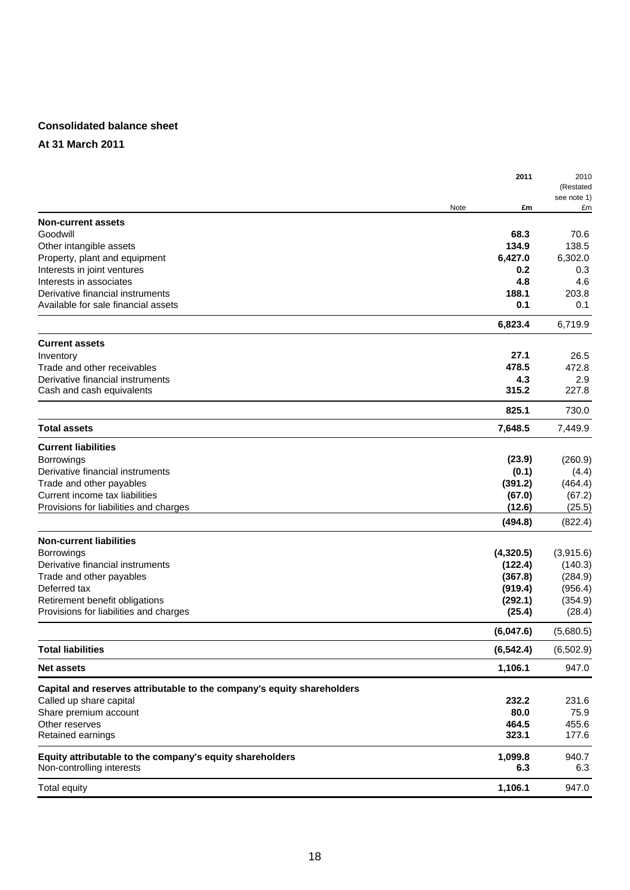## **Consolidated balance sheet**

## **At 31 March 2011**

|                                                                         |      | 2011         | 2010<br>(Restated<br>see note 1) |
|-------------------------------------------------------------------------|------|--------------|----------------------------------|
|                                                                         | Note | £m           | £m                               |
| <b>Non-current assets</b>                                               |      |              |                                  |
| Goodwill                                                                |      | 68.3         | 70.6                             |
| Other intangible assets                                                 |      | 134.9        | 138.5                            |
| Property, plant and equipment                                           |      | 6,427.0      | 6,302.0                          |
| Interests in joint ventures                                             |      | 0.2          | 0.3                              |
| Interests in associates                                                 |      | 4.8          | 4.6                              |
| Derivative financial instruments<br>Available for sale financial assets |      | 188.1<br>0.1 | 203.8                            |
|                                                                         |      |              | 0.1                              |
|                                                                         |      | 6,823.4      | 6,719.9                          |
| <b>Current assets</b>                                                   |      |              |                                  |
| Inventory                                                               |      | 27.1         | 26.5                             |
| Trade and other receivables                                             |      | 478.5        | 472.8                            |
| Derivative financial instruments                                        |      | 4.3          | 2.9                              |
| Cash and cash equivalents                                               |      | 315.2        | 227.8                            |
|                                                                         |      | 825.1        | 730.0                            |
| <b>Total assets</b>                                                     |      | 7,648.5      | 7,449.9                          |
| <b>Current liabilities</b>                                              |      |              |                                  |
| <b>Borrowings</b>                                                       |      | (23.9)       | (260.9)                          |
| Derivative financial instruments                                        |      | (0.1)        | (4.4)                            |
| Trade and other payables                                                |      | (391.2)      | (464.4)                          |
| Current income tax liabilities                                          |      | (67.0)       | (67.2)                           |
| Provisions for liabilities and charges                                  |      | (12.6)       | (25.5)                           |
|                                                                         |      | (494.8)      | (822.4)                          |
| <b>Non-current liabilities</b>                                          |      |              |                                  |
| <b>Borrowings</b>                                                       |      | (4,320.5)    | (3,915.6)                        |
| Derivative financial instruments                                        |      | (122.4)      | (140.3)                          |
| Trade and other payables                                                |      | (367.8)      | (284.9)                          |
| Deferred tax                                                            |      | (919.4)      | (956.4)                          |
| Retirement benefit obligations                                          |      | (292.1)      | (354.9)                          |
| Provisions for liabilities and charges                                  |      | (25.4)       | (28.4)                           |
|                                                                         |      | (6,047.6)    | (5,680.5)                        |
| <b>Total liabilities</b>                                                |      | (6, 542.4)   | (6, 502.9)                       |
| <b>Net assets</b>                                                       |      | 1,106.1      | 947.0                            |
| Capital and reserves attributable to the company's equity shareholders  |      |              |                                  |
| Called up share capital                                                 |      | 232.2        | 231.6                            |
| Share premium account                                                   |      | 80.0         | 75.9                             |
| Other reserves                                                          |      | 464.5        | 455.6                            |
| Retained earnings                                                       |      | 323.1        | 177.6                            |
| Equity attributable to the company's equity shareholders                |      | 1,099.8      | 940.7                            |
| Non-controlling interests                                               |      | 6.3          | 6.3                              |
| <b>Total equity</b>                                                     |      | 1,106.1      | 947.0                            |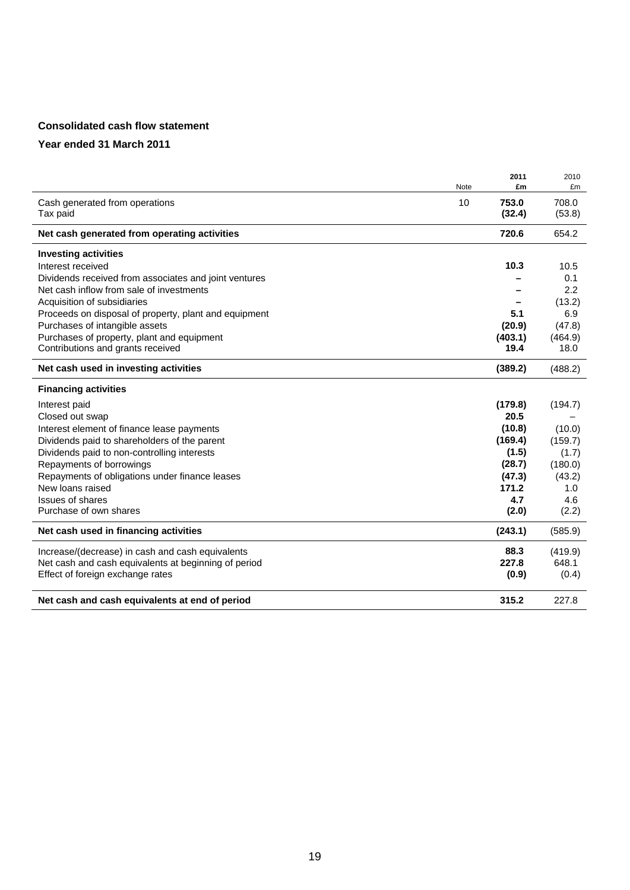# **Consolidated cash flow statement**

|                                                       | 2011    | 2010    |
|-------------------------------------------------------|---------|---------|
| Note                                                  | £m      | £m      |
| Cash generated from operations<br>10                  | 753.0   | 708.0   |
| Tax paid                                              | (32.4)  | (53.8)  |
| Net cash generated from operating activities          | 720.6   | 654.2   |
| <b>Investing activities</b>                           |         |         |
| Interest received                                     | 10.3    | 10.5    |
| Dividends received from associates and joint ventures |         | 0.1     |
| Net cash inflow from sale of investments              |         | 2.2     |
| Acquisition of subsidiaries                           |         | (13.2)  |
| Proceeds on disposal of property, plant and equipment | 5.1     | 6.9     |
| Purchases of intangible assets                        | (20.9)  | (47.8)  |
| Purchases of property, plant and equipment            | (403.1) | (464.9) |
| Contributions and grants received                     | 19.4    | 18.0    |
| Net cash used in investing activities                 | (389.2) | (488.2) |
| <b>Financing activities</b>                           |         |         |
| Interest paid                                         | (179.8) | (194.7) |
| Closed out swap                                       | 20.5    |         |
| Interest element of finance lease payments            | (10.8)  | (10.0)  |
| Dividends paid to shareholders of the parent          | (169.4) | (159.7) |
| Dividends paid to non-controlling interests           | (1.5)   | (1.7)   |
| Repayments of borrowings                              | (28.7)  | (180.0) |
| Repayments of obligations under finance leases        | (47.3)  | (43.2)  |
| New loans raised                                      | 171.2   | 1.0     |
| <b>Issues of shares</b>                               | 4.7     | 4.6     |
| Purchase of own shares                                | (2.0)   | (2.2)   |
| Net cash used in financing activities                 | (243.1) | (585.9) |
| Increase/(decrease) in cash and cash equivalents      | 88.3    | (419.9) |
| Net cash and cash equivalents at beginning of period  | 227.8   | 648.1   |
| Effect of foreign exchange rates                      | (0.9)   | (0.4)   |
| Net cash and cash equivalents at end of period        | 315.2   | 227.8   |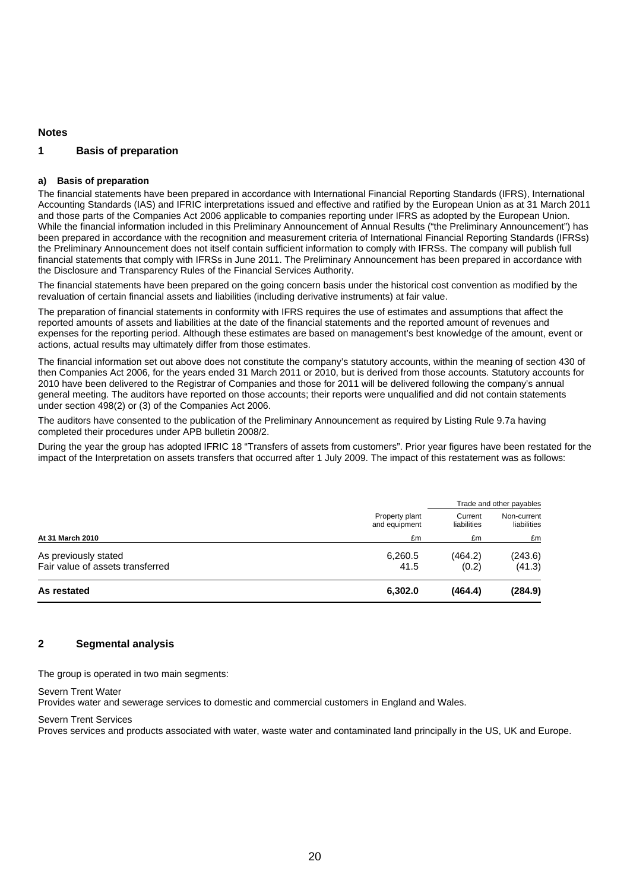### **Notes**

### **1 Basis of preparation**

#### **a) Basis of preparation**

The financial statements have been prepared in accordance with International Financial Reporting Standards (IFRS), International Accounting Standards (IAS) and IFRIC interpretations issued and effective and ratified by the European Union as at 31 March 2011 and those parts of the Companies Act 2006 applicable to companies reporting under IFRS as adopted by the European Union. While the financial information included in this Preliminary Announcement of Annual Results ("the Preliminary Announcement") has been prepared in accordance with the recognition and measurement criteria of International Financial Reporting Standards (IFRSs) the Preliminary Announcement does not itself contain sufficient information to comply with IFRSs. The company will publish full financial statements that comply with IFRSs in June 2011. The Preliminary Announcement has been prepared in accordance with the Disclosure and Transparency Rules of the Financial Services Authority.

The financial statements have been prepared on the going concern basis under the historical cost convention as modified by the revaluation of certain financial assets and liabilities (including derivative instruments) at fair value.

The preparation of financial statements in conformity with IFRS requires the use of estimates and assumptions that affect the reported amounts of assets and liabilities at the date of the financial statements and the reported amount of revenues and expenses for the reporting period. Although these estimates are based on management's best knowledge of the amount, event or actions, actual results may ultimately differ from those estimates.

The financial information set out above does not constitute the company's statutory accounts, within the meaning of section 430 of then Companies Act 2006, for the years ended 31 March 2011 or 2010, but is derived from those accounts. Statutory accounts for 2010 have been delivered to the Registrar of Companies and those for 2011 will be delivered following the company's annual general meeting. The auditors have reported on those accounts; their reports were unqualified and did not contain statements under section 498(2) or (3) of the Companies Act 2006.

The auditors have consented to the publication of the Preliminary Announcement as required by Listing Rule 9.7a having completed their procedures under APB bulletin 2008/2.

During the year the group has adopted IFRIC 18 "Transfers of assets from customers". Prior year figures have been restated for the impact of the Interpretation on assets transfers that occurred after 1 July 2009. The impact of this restatement was as follows:

|                                  |                                 | Trade and other payables |                            |  |
|----------------------------------|---------------------------------|--------------------------|----------------------------|--|
|                                  | Property plant<br>and equipment | Current<br>liabilities   | Non-current<br>liabilities |  |
| At 31 March 2010                 | £m                              | £m                       | £m                         |  |
| As previously stated             | 6,260.5                         | (464.2)                  | (243.6)                    |  |
| Fair value of assets transferred | 41.5                            | (0.2)                    | (41.3)                     |  |
| As restated                      | 6,302.0                         | (464.4)                  | (284.9)                    |  |

#### **2 Segmental analysis**

The group is operated in two main segments:

#### Severn Trent Water

Provides water and sewerage services to domestic and commercial customers in England and Wales.

#### Severn Trent Services

Proves services and products associated with water, waste water and contaminated land principally in the US, UK and Europe.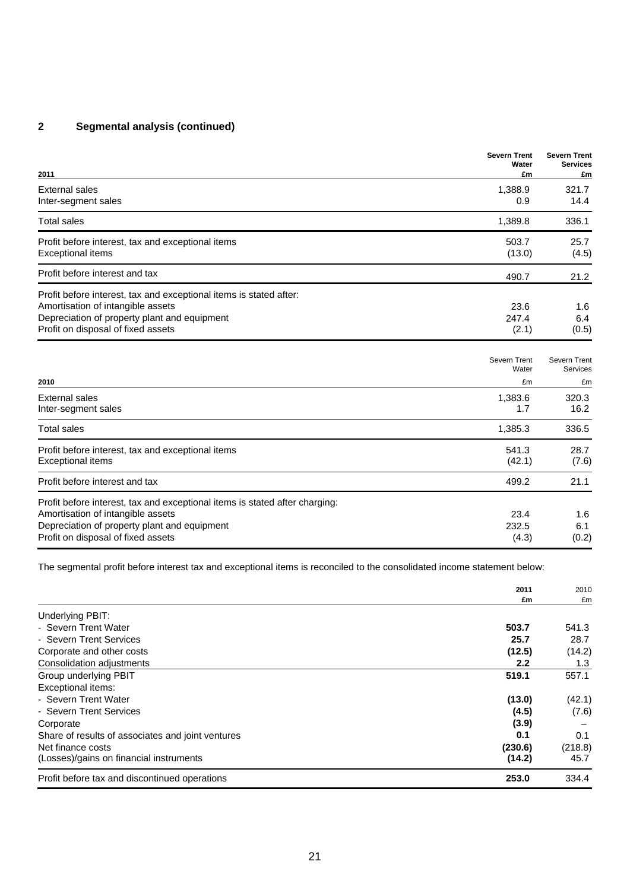# **2 Segmental analysis (continued)**

| 2011                                                                                                                                                                                                   | <b>Severn Trent</b><br>Water<br>£m | <b>Severn Trent</b><br><b>Services</b><br>£m |
|--------------------------------------------------------------------------------------------------------------------------------------------------------------------------------------------------------|------------------------------------|----------------------------------------------|
| <b>External sales</b><br>Inter-segment sales                                                                                                                                                           | 1,388.9<br>0.9                     | 321.7<br>14.4                                |
| <b>Total sales</b>                                                                                                                                                                                     | 1,389.8                            | 336.1                                        |
| Profit before interest, tax and exceptional items<br><b>Exceptional items</b>                                                                                                                          | 503.7<br>(13.0)                    | 25.7<br>(4.5)                                |
| Profit before interest and tax                                                                                                                                                                         | 490.7                              | 21.2                                         |
| Profit before interest, tax and exceptional items is stated after:<br>Amortisation of intangible assets<br>Depreciation of property plant and equipment<br>Profit on disposal of fixed assets          | 23.6<br>247.4<br>(2.1)             | 1.6<br>6.4<br>(0.5)                          |
| 2010                                                                                                                                                                                                   | Severn Trent<br>Water<br>£m        | Severn Trent<br>Services<br>£m               |
| <b>External sales</b><br>Inter-segment sales                                                                                                                                                           | 1,383.6<br>1.7                     | 320.3<br>16.2                                |
| <b>Total sales</b>                                                                                                                                                                                     | 1,385.3                            | 336.5                                        |
| Profit before interest, tax and exceptional items<br><b>Exceptional items</b>                                                                                                                          | 541.3<br>(42.1)                    | 28.7<br>(7.6)                                |
| Profit before interest and tax                                                                                                                                                                         | 499.2                              | 21.1                                         |
| Profit before interest, tax and exceptional items is stated after charging:<br>Amortisation of intangible assets<br>Depreciation of property plant and equipment<br>Profit on disposal of fixed assets | 23.4<br>232.5<br>(4.3)             | 1.6<br>6.1<br>(0.2)                          |

The segmental profit before interest tax and exceptional items is reconciled to the consolidated income statement below:

|                                                   | 2011<br>£m       | 2010    |
|---------------------------------------------------|------------------|---------|
|                                                   |                  | £m      |
| Underlying PBIT:                                  |                  |         |
| - Severn Trent Water                              | 503.7            | 541.3   |
| - Severn Trent Services                           | 25.7             | 28.7    |
| Corporate and other costs                         | (12.5)           | (14.2)  |
| Consolidation adjustments                         | $2.2\phantom{0}$ | 1.3     |
| Group underlying PBIT                             | 519.1            | 557.1   |
| Exceptional items:                                |                  |         |
| - Severn Trent Water                              | (13.0)           | (42.1)  |
| - Severn Trent Services                           | (4.5)            | (7.6)   |
| Corporate                                         | (3.9)            |         |
| Share of results of associates and joint ventures | 0.1              | 0.1     |
| Net finance costs                                 | (230.6)          | (218.8) |
| (Losses)/gains on financial instruments           | (14.2)           | 45.7    |
| Profit before tax and discontinued operations     | 253.0            | 334.4   |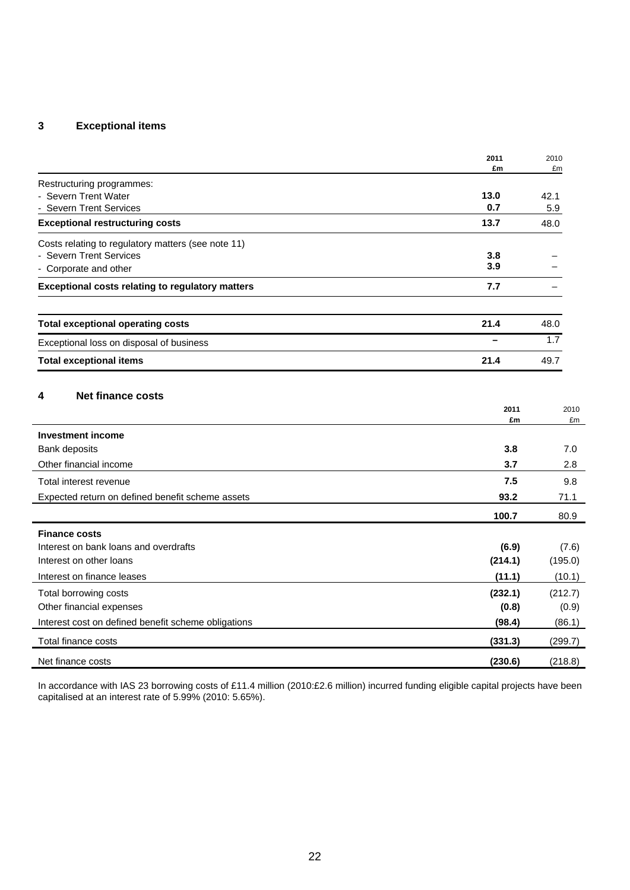# **3 Exceptional items**

|                                                         | 2011        | 2010        |
|---------------------------------------------------------|-------------|-------------|
|                                                         | £m          | £m          |
| Restructuring programmes:                               |             |             |
| - Severn Trent Water<br>- Severn Trent Services         | 13.0<br>0.7 | 42.1<br>5.9 |
| <b>Exceptional restructuring costs</b>                  | 13.7        | 48.0        |
| Costs relating to regulatory matters (see note 11)      |             |             |
| - Severn Trent Services                                 | 3.8         |             |
| - Corporate and other                                   | 3.9         |             |
| <b>Exceptional costs relating to regulatory matters</b> | 7.7         |             |
| <b>Total exceptional operating costs</b>                | 21.4        | 48.0        |
| Exceptional loss on disposal of business                | ▃           | 1.7         |
| <b>Total exceptional items</b>                          | 21.4        | 49.7        |
| <b>Net finance costs</b><br>4                           | 2011<br>£m  | 2010<br>£m  |
| <b>Investment income</b>                                |             |             |
| Bank deposits                                           | 3.8         | 7.0         |
| Other financial income                                  | 3.7         | 2.8         |
| Total interest revenue                                  | 7.5         | 9.8         |
| Expected return on defined benefit scheme assets        | 93.2        | 71.1        |
|                                                         | 100.7       | 80.9        |
| <b>Finance costs</b>                                    |             |             |
| Interest on bank loans and overdrafts                   | (6.9)       | (7.6)       |
| Interest on other loans                                 | (214.1)     | (195.0)     |
| Interest on finance leases                              | (11.1)      | (10.1)      |
| Total borrowing costs                                   | (232.1)     | (212.7)     |
| Other financial expenses                                | (0.8)       | (0.9)       |
| Interest cost on defined benefit scheme obligations     | (98.4)      | (86.1)      |
| Total finance costs                                     | (331.3)     | (299.7)     |
| Net finance costs                                       | (230.6)     | (218.8)     |

In accordance with IAS 23 borrowing costs of £11.4 million (2010:£2.6 million) incurred funding eligible capital projects have been capitalised at an interest rate of 5.99% (2010: 5.65%).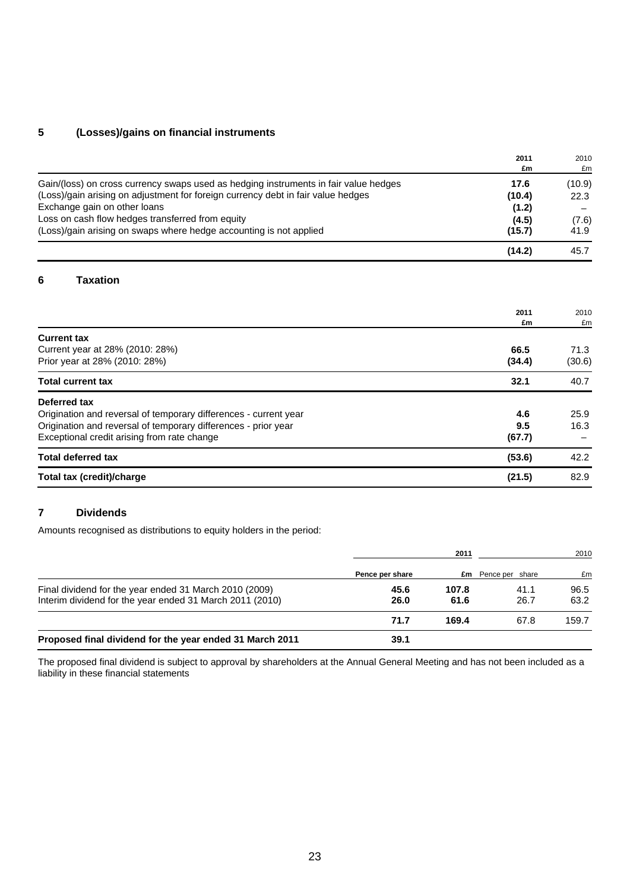# **5 (Losses)/gains on financial instruments**

|                                                                                                                                                                                                                                                                                                                                    | 2011<br>£m                                 | 2010<br>£m                      |
|------------------------------------------------------------------------------------------------------------------------------------------------------------------------------------------------------------------------------------------------------------------------------------------------------------------------------------|--------------------------------------------|---------------------------------|
| Gain/(loss) on cross currency swaps used as hedging instruments in fair value hedges<br>(Loss)/gain arising on adjustment for foreign currency debt in fair value hedges<br>Exchange gain on other loans<br>Loss on cash flow hedges transferred from equity<br>(Loss)/gain arising on swaps where hedge accounting is not applied | 17.6<br>(10.4)<br>(1.2)<br>(4.5)<br>(15.7) | (10.9)<br>22.3<br>(7.6)<br>41.9 |
|                                                                                                                                                                                                                                                                                                                                    | (14.2)                                     | 45.7                            |
| <b>Taxation</b><br>6                                                                                                                                                                                                                                                                                                               |                                            |                                 |
|                                                                                                                                                                                                                                                                                                                                    | 2011<br>£m                                 | 2010<br>£m                      |
| <b>Current tax</b><br>Current year at 28% (2010: 28%)<br>Prior year at 28% (2010: 28%)                                                                                                                                                                                                                                             | 66.5<br>(34.4)                             | 71.3<br>(30.6)                  |
| <b>Total current tax</b>                                                                                                                                                                                                                                                                                                           | 32.1                                       | 40.7                            |
| Deferred tax<br>Origination and reversal of temporary differences - current year<br>Origination and reversal of temporary differences - prior year<br>Exceptional credit arising from rate change                                                                                                                                  | 4.6<br>9.5<br>(67.7)                       | 25.9<br>16.3                    |
| <b>Total deferred tax</b>                                                                                                                                                                                                                                                                                                          | (53.6)                                     | 42.2                            |
| Total tax (credit)/charge                                                                                                                                                                                                                                                                                                          | (21.5)                                     | 82.9                            |

# **7 Dividends**

Amounts recognised as distributions to equity holders in the period:

|                                                          |                 | 2011  |                           | 2010  |
|----------------------------------------------------------|-----------------|-------|---------------------------|-------|
|                                                          | Pence per share |       | <b>£m</b> Pence per share | £m    |
| Final dividend for the year ended 31 March 2010 (2009)   | 45.6            | 107.8 | 41.1                      | 96.5  |
| Interim dividend for the year ended 31 March 2011 (2010) | 26.0            | 61.6  | 26.7                      | 63.2  |
|                                                          | 71.7            | 169.4 | 67.8                      | 159.7 |
| Proposed final dividend for the year ended 31 March 2011 | 39.1            |       |                           |       |

The proposed final dividend is subject to approval by shareholders at the Annual General Meeting and has not been included as a liability in these financial statements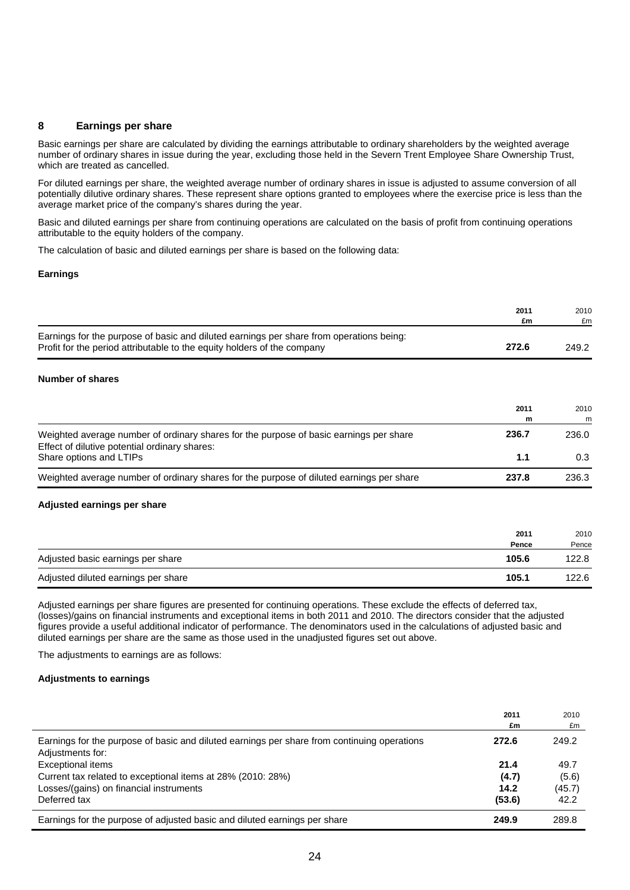#### **8 Earnings per share**

Basic earnings per share are calculated by dividing the earnings attributable to ordinary shareholders by the weighted average number of ordinary shares in issue during the year, excluding those held in the Severn Trent Employee Share Ownership Trust, which are treated as cancelled.

For diluted earnings per share, the weighted average number of ordinary shares in issue is adjusted to assume conversion of all potentially dilutive ordinary shares. These represent share options granted to employees where the exercise price is less than the average market price of the company's shares during the year.

Basic and diluted earnings per share from continuing operations are calculated on the basis of profit from continuing operations attributable to the equity holders of the company.

The calculation of basic and diluted earnings per share is based on the following data:

#### **Earnings**

|                                                                                                                                                                    | 2011<br>£m | 2010<br>£m |
|--------------------------------------------------------------------------------------------------------------------------------------------------------------------|------------|------------|
| Earnings for the purpose of basic and diluted earnings per share from operations being:<br>Profit for the period attributable to the equity holders of the company | 272.6      | 249.2      |

#### **Number of shares**

|                                                                                                                                         | 2011<br>m | 2010<br>m |
|-----------------------------------------------------------------------------------------------------------------------------------------|-----------|-----------|
| Weighted average number of ordinary shares for the purpose of basic earnings per share<br>Effect of dilutive potential ordinary shares: | 236.7     | 236.0     |
| Share options and LTIPs                                                                                                                 | 1.1       | 0.3       |
| Weighted average number of ordinary shares for the purpose of diluted earnings per share                                                | 237.8     | 236.3     |

#### **Adjusted earnings per share**

|                                     | 2011<br>Pence | 2010<br>Pence |
|-------------------------------------|---------------|---------------|
| Adjusted basic earnings per share   | 105.6         | 122.8         |
| Adjusted diluted earnings per share | 105.1         | 122.6         |

Adjusted earnings per share figures are presented for continuing operations. These exclude the effects of deferred tax, (losses)/gains on financial instruments and exceptional items in both 2011 and 2010. The directors consider that the adjusted figures provide a useful additional indicator of performance. The denominators used in the calculations of adjusted basic and diluted earnings per share are the same as those used in the unadjusted figures set out above.

The adjustments to earnings are as follows:

#### **Adjustments to earnings**

|                                                                                             | 2011   | 2010   |
|---------------------------------------------------------------------------------------------|--------|--------|
|                                                                                             | £m     | £m     |
| Earnings for the purpose of basic and diluted earnings per share from continuing operations | 272.6  | 249.2  |
| Adjustments for:                                                                            |        |        |
| <b>Exceptional items</b>                                                                    | 21.4   | 49.7   |
| Current tax related to exceptional items at 28% (2010: 28%)                                 | (4.7)  | (5.6)  |
| Losses/(gains) on financial instruments                                                     | 14.2   | (45.7) |
| Deferred tax                                                                                | (53.6) | 42.2   |
| Earnings for the purpose of adjusted basic and diluted earnings per share                   | 249.9  | 289.8  |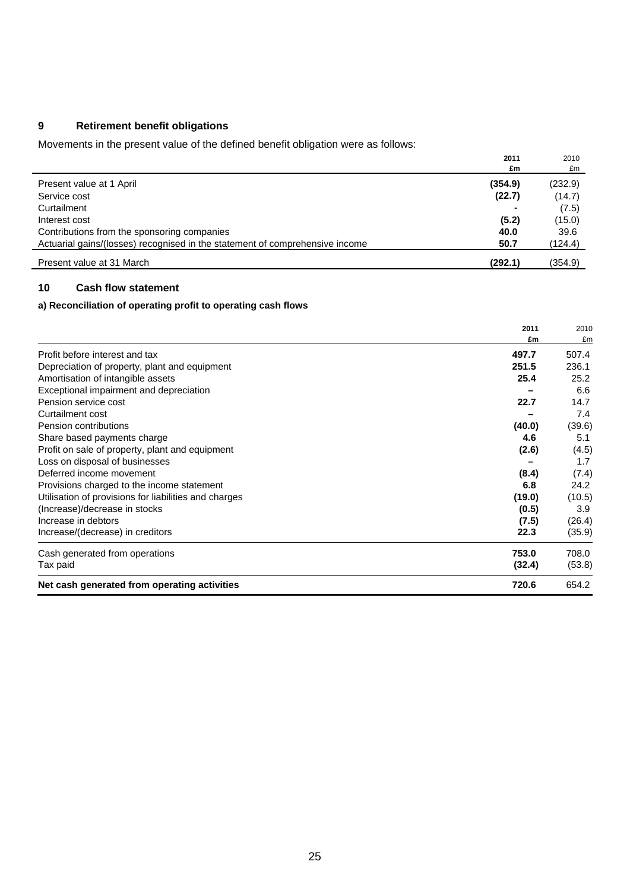# **9 Retirement benefit obligations**

Movements in the present value of the defined benefit obligation were as follows:

|                                                                              | 2011    | 2010    |
|------------------------------------------------------------------------------|---------|---------|
|                                                                              | £m      | £m      |
| Present value at 1 April                                                     | (354.9) | (232.9) |
| Service cost                                                                 | (22.7)  | (14.7)  |
| Curtailment                                                                  |         | (7.5)   |
| Interest cost                                                                | (5.2)   | (15.0)  |
| Contributions from the sponsoring companies                                  | 40.0    | 39.6    |
| Actuarial gains/(losses) recognised in the statement of comprehensive income | 50.7    | (124.4) |
| Present value at 31 March                                                    | (292.1) | (354.9) |

# **10 Cash flow statement**

### **a) Reconciliation of operating profit to operating cash flows**

|                                                       | 2011   | 2010   |
|-------------------------------------------------------|--------|--------|
|                                                       | £m     | £m     |
| Profit before interest and tax                        | 497.7  | 507.4  |
| Depreciation of property, plant and equipment         | 251.5  | 236.1  |
| Amortisation of intangible assets                     | 25.4   | 25.2   |
| Exceptional impairment and depreciation               |        | 6.6    |
| Pension service cost                                  | 22.7   | 14.7   |
| Curtailment cost                                      |        | 7.4    |
| Pension contributions                                 | (40.0) | (39.6) |
| Share based payments charge                           | 4.6    | 5.1    |
| Profit on sale of property, plant and equipment       | (2.6)  | (4.5)  |
| Loss on disposal of businesses                        |        | 1.7    |
| Deferred income movement                              | (8.4)  | (7.4)  |
| Provisions charged to the income statement            | 6.8    | 24.2   |
| Utilisation of provisions for liabilities and charges | (19.0) | (10.5) |
| (Increase)/decrease in stocks                         | (0.5)  | 3.9    |
| Increase in debtors                                   | (7.5)  | (26.4) |
| Increase/(decrease) in creditors                      | 22.3   | (35.9) |
| Cash generated from operations                        | 753.0  | 708.0  |
| Tax paid                                              | (32.4) | (53.8) |
| Net cash generated from operating activities          | 720.6  | 654.2  |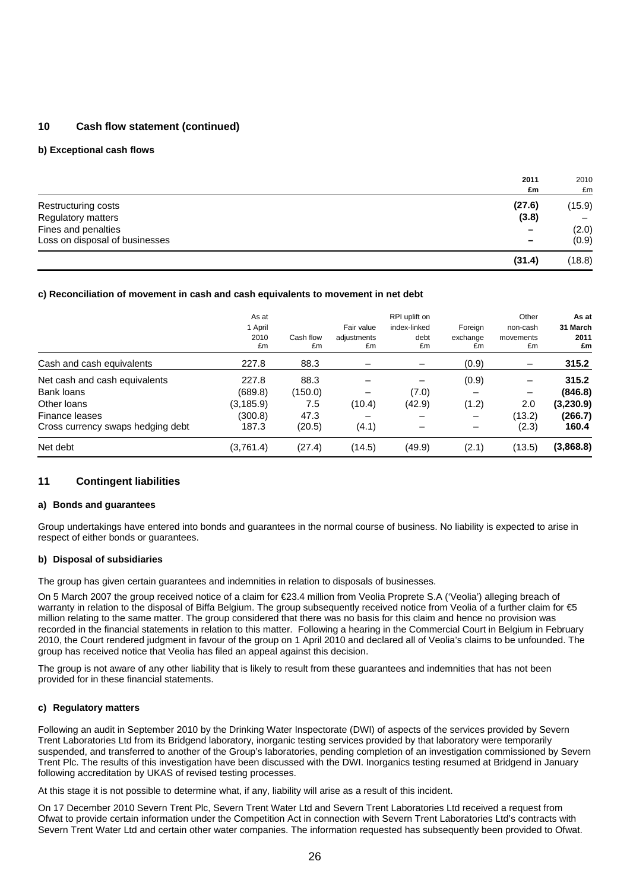### **10 Cash flow statement (continued)**

#### **b) Exceptional cash flows**

|                                | 2011<br>£m               | 2010<br>£m |
|--------------------------------|--------------------------|------------|
| Restructuring costs            | (27.6)                   | (15.9)     |
| Regulatory matters             | (3.8)                    |            |
| Fines and penalties            | $\overline{\phantom{0}}$ | (2.0)      |
| Loss on disposal of businesses | $\overline{\phantom{0}}$ | (0.9)      |
|                                | (31.4)                   | (18.8)     |

#### **c) Reconciliation of movement in cash and cash equivalents to movement in net debt**

|                                   | As at<br>1 April<br>2010<br>£m | Cash flow<br>£m | Fair value<br>adjustments<br>£m | RPI uplift on<br>index-linked<br>debt<br>£m | Foreign<br>exchange<br>£m | Other<br>non-cash<br>movements<br>£m | As at<br>31 March<br>2011<br>£m |
|-----------------------------------|--------------------------------|-----------------|---------------------------------|---------------------------------------------|---------------------------|--------------------------------------|---------------------------------|
| Cash and cash equivalents         | 227.8                          | 88.3            |                                 |                                             | (0.9)                     |                                      | 315.2                           |
| Net cash and cash equivalents     | 227.8                          | 88.3            |                                 |                                             | (0.9)                     |                                      | 315.2                           |
| Bank loans                        | (689.8)                        | (150.0)         |                                 | (7.0)                                       |                           |                                      | (846.8)                         |
| Other loans                       | (3, 185.9)                     | 7.5             | (10.4)                          | (42.9)                                      | (1.2)                     | 2.0                                  | (3,230.9)                       |
| Finance leases                    | (300.8)                        | 47.3            |                                 |                                             |                           | (13.2)                               | (266.7)                         |
| Cross currency swaps hedging debt | 187.3                          | (20.5)          | (4.1)                           |                                             |                           | (2.3)                                | 160.4                           |
| Net debt                          | (3,761.4)                      | (27.4)          | (14.5)                          | (49.9)                                      | (2.1)                     | (13.5)                               | (3,868.8)                       |

#### **11 Contingent liabilities**

#### **a) Bonds and guarantees**

Group undertakings have entered into bonds and guarantees in the normal course of business. No liability is expected to arise in respect of either bonds or guarantees.

#### **b) Disposal of subsidiaries**

The group has given certain guarantees and indemnities in relation to disposals of businesses.

On 5 March 2007 the group received notice of a claim for €23.4 million from Veolia Proprete S.A ('Veolia') alleging breach of warranty in relation to the disposal of Biffa Belgium. The group subsequently received notice from Veolia of a further claim for €5 million relating to the same matter. The group considered that there was no basis for this claim and hence no provision was recorded in the financial statements in relation to this matter. Following a hearing in the Commercial Court in Belgium in February 2010, the Court rendered judgment in favour of the group on 1 April 2010 and declared all of Veolia's claims to be unfounded. The group has received notice that Veolia has filed an appeal against this decision.

The group is not aware of any other liability that is likely to result from these guarantees and indemnities that has not been provided for in these financial statements.

#### **c) Regulatory matters**

Following an audit in September 2010 by the Drinking Water Inspectorate (DWI) of aspects of the services provided by Severn Trent Laboratories Ltd from its Bridgend laboratory, inorganic testing services provided by that laboratory were temporarily suspended, and transferred to another of the Group's laboratories, pending completion of an investigation commissioned by Severn Trent Plc. The results of this investigation have been discussed with the DWI. Inorganics testing resumed at Bridgend in January following accreditation by UKAS of revised testing processes.

At this stage it is not possible to determine what, if any, liability will arise as a result of this incident.

On 17 December 2010 Severn Trent Plc, Severn Trent Water Ltd and Severn Trent Laboratories Ltd received a request from Ofwat to provide certain information under the Competition Act in connection with Severn Trent Laboratories Ltd's contracts with Severn Trent Water Ltd and certain other water companies. The information requested has subsequently been provided to Ofwat.